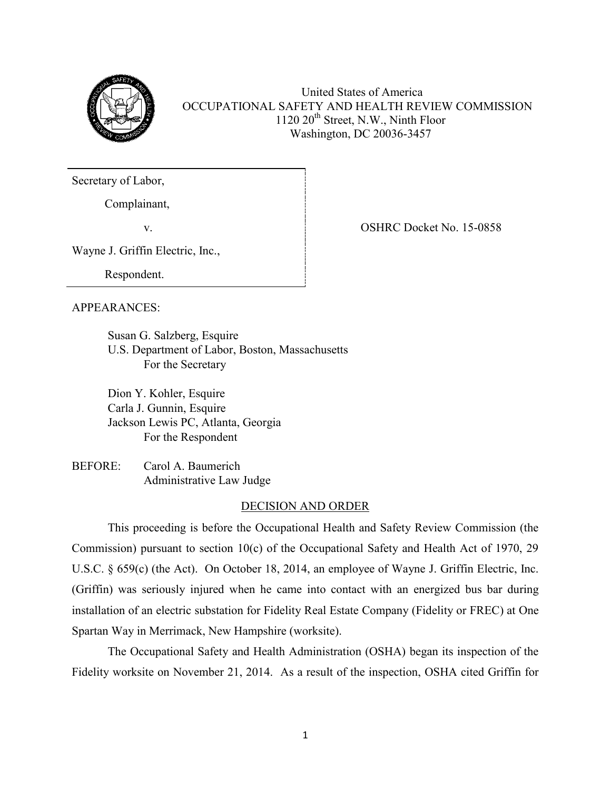

United States of America OCCUPATIONAL SAFETY AND HEALTH REVIEW COMMISSION 1120  $20<sup>th</sup>$  Street, N.W., Ninth Floor Washington, DC 20036-3457

Secretary of Labor,

Complainant,

v. Same School and the Contract OSHRC Docket No. 15-0858

Wayne J. Griffin Electric, Inc.,

Respondent.

# APPEARANCES:

Susan G. Salzberg, Esquire U.S. Department of Labor, Boston, Massachusetts For the Secretary

 Dion Y. Kohler, Esquire Carla J. Gunnin, Esquire Jackson Lewis PC, Atlanta, Georgia For the Respondent

BEFORE: Carol A. Baumerich Administrative Law Judge

# DECISION AND ORDER

This proceeding is before the Occupational Health and Safety Review Commission (the Commission) pursuant to section 10(c) of the Occupational Safety and Health Act of 1970, 29 U.S.C. § 659(c) (the Act). On October 18, 2014, an employee of Wayne J. Griffin Electric, Inc. (Griffin) was seriously injured when he came into contact with an energized bus bar during installation of an electric substation for Fidelity Real Estate Company (Fidelity or FREC) at One Spartan Way in Merrimack, New Hampshire (worksite).

The Occupational Safety and Health Administration (OSHA) began its inspection of the Fidelity worksite on November 21, 2014. As a result of the inspection, OSHA cited Griffin for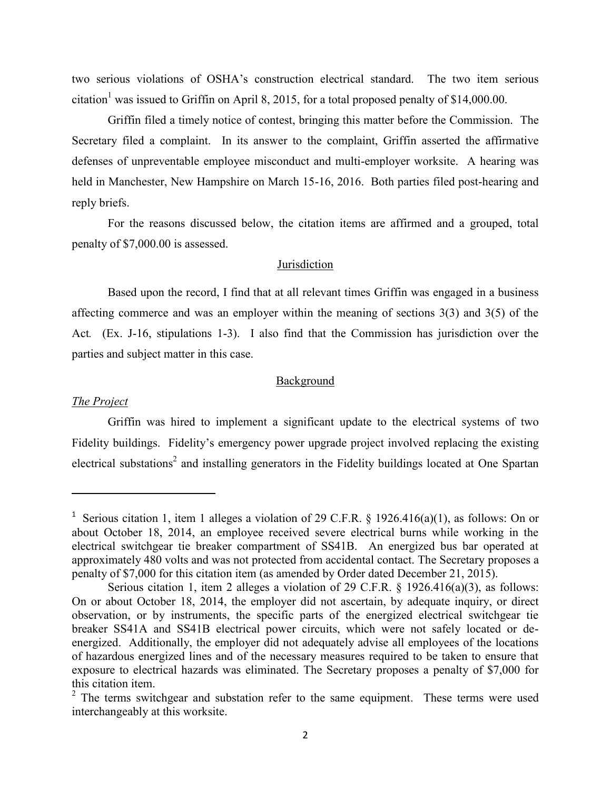two serious violations of OSHA's construction electrical standard. The two item serious citation<sup>1</sup> was issued to Griffin on April 8, 2015, for a total proposed penalty of \$14,000.00.

Griffin filed a timely notice of contest, bringing this matter before the Commission. The Secretary filed a complaint. In its answer to the complaint, Griffin asserted the affirmative defenses of unpreventable employee misconduct and multi-employer worksite. A hearing was held in Manchester, New Hampshire on March 15-16, 2016. Both parties filed post-hearing and reply briefs.

For the reasons discussed below, the citation items are affirmed and a grouped, total penalty of \$7,000.00 is assessed.

## Jurisdiction

Based upon the record, I find that at all relevant times Griffin was engaged in a business affecting commerce and was an employer within the meaning of sections 3(3) and 3(5) of the Act*.* (Ex. J-16, stipulations 1-3). I also find that the Commission has jurisdiction over the parties and subject matter in this case.

## Background

#### *The Project*

 $\overline{\phantom{a}}$ 

Griffin was hired to implement a significant update to the electrical systems of two Fidelity buildings. Fidelity's emergency power upgrade project involved replacing the existing electrical substations<sup>2</sup> and installing generators in the Fidelity buildings located at One Spartan

<sup>&</sup>lt;sup>1</sup> Serious citation 1, item 1 alleges a violation of 29 C.F.R. § 1926.416(a)(1), as follows: On or about October 18, 2014, an employee received severe electrical burns while working in the electrical switchgear tie breaker compartment of SS41B. An energized bus bar operated at approximately 480 volts and was not protected from accidental contact. The Secretary proposes a penalty of \$7,000 for this citation item (as amended by Order dated December 21, 2015).

Serious citation 1, item 2 alleges a violation of 29 C.F.R. § 1926.416(a)(3), as follows: On or about October 18, 2014, the employer did not ascertain, by adequate inquiry, or direct observation, or by instruments, the specific parts of the energized electrical switchgear tie breaker SS41A and SS41B electrical power circuits, which were not safely located or deenergized. Additionally, the employer did not adequately advise all employees of the locations of hazardous energized lines and of the necessary measures required to be taken to ensure that exposure to electrical hazards was eliminated. The Secretary proposes a penalty of \$7,000 for this citation item.

 $2$  The terms switchgear and substation refer to the same equipment. These terms were used interchangeably at this worksite.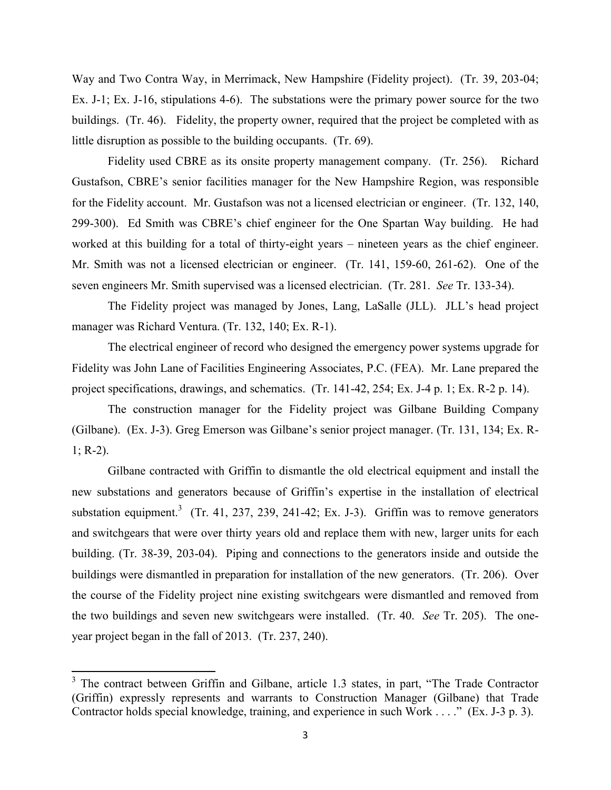Way and Two Contra Way, in Merrimack, New Hampshire (Fidelity project). (Tr. 39, 203-04; Ex. J-1; Ex. J-16, stipulations 4-6). The substations were the primary power source for the two buildings. (Tr. 46). Fidelity, the property owner, required that the project be completed with as little disruption as possible to the building occupants. (Tr. 69).

Fidelity used CBRE as its onsite property management company. (Tr. 256). Richard Gustafson, CBRE's senior facilities manager for the New Hampshire Region, was responsible for the Fidelity account. Mr. Gustafson was not a licensed electrician or engineer. (Tr. 132, 140, 299-300). Ed Smith was CBRE's chief engineer for the One Spartan Way building. He had worked at this building for a total of thirty-eight years – nineteen years as the chief engineer. Mr. Smith was not a licensed electrician or engineer. (Tr. 141, 159-60, 261-62). One of the seven engineers Mr. Smith supervised was a licensed electrician. (Tr. 281. *See* Tr. 133-34).

The Fidelity project was managed by Jones, Lang, LaSalle (JLL). JLL's head project manager was Richard Ventura. (Tr. 132, 140; Ex. R-1).

The electrical engineer of record who designed the emergency power systems upgrade for Fidelity was John Lane of Facilities Engineering Associates, P.C. (FEA). Mr. Lane prepared the project specifications, drawings, and schematics. (Tr. 141-42, 254; Ex. J-4 p. 1; Ex. R-2 p. 14).

The construction manager for the Fidelity project was Gilbane Building Company (Gilbane). (Ex. J-3). Greg Emerson was Gilbane's senior project manager. (Tr. 131, 134; Ex. R- $1; R-2).$ 

Gilbane contracted with Griffin to dismantle the old electrical equipment and install the new substations and generators because of Griffin's expertise in the installation of electrical substation equipment.<sup>3</sup> (Tr. 41, 237, 239, 241-42; Ex. J-3). Griffin was to remove generators and switchgears that were over thirty years old and replace them with new, larger units for each building. (Tr. 38-39, 203-04). Piping and connections to the generators inside and outside the buildings were dismantled in preparation for installation of the new generators. (Tr. 206). Over the course of the Fidelity project nine existing switchgears were dismantled and removed from the two buildings and seven new switchgears were installed. (Tr. 40. *See* Tr. 205). The oneyear project began in the fall of 2013. (Tr. 237, 240).

 $3$  The contract between Griffin and Gilbane, article 1.3 states, in part, "The Trade Contractor (Griffin) expressly represents and warrants to Construction Manager (Gilbane) that Trade Contractor holds special knowledge, training, and experience in such Work . . . ." (Ex. J-3 p. 3).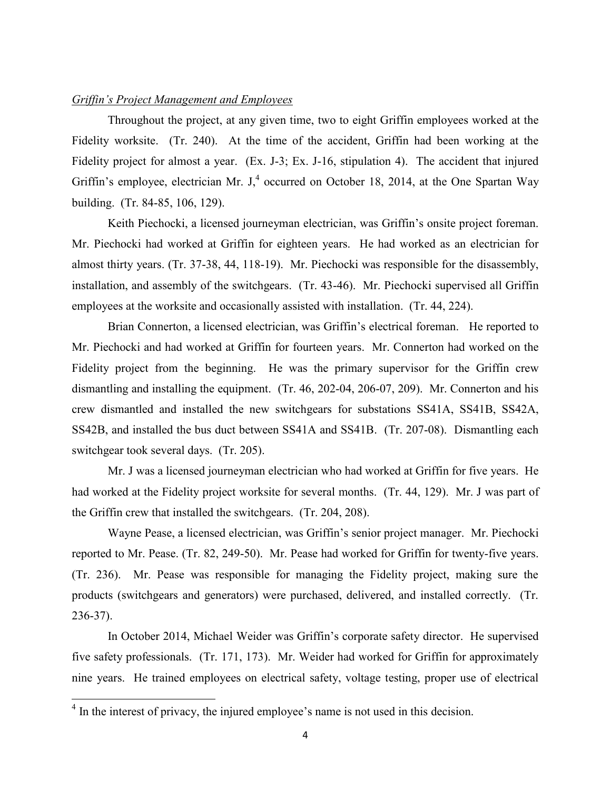## *Griffin's Project Management and Employees*

Throughout the project, at any given time, two to eight Griffin employees worked at the Fidelity worksite. (Tr. 240). At the time of the accident, Griffin had been working at the Fidelity project for almost a year. (Ex. J-3; Ex. J-16, stipulation 4). The accident that injured Griffin's employee, electrician Mr. J,<sup>4</sup> occurred on October 18, 2014, at the One Spartan Way building. (Tr. 84-85, 106, 129).

Keith Piechocki, a licensed journeyman electrician, was Griffin's onsite project foreman. Mr. Piechocki had worked at Griffin for eighteen years. He had worked as an electrician for almost thirty years. (Tr. 37-38, 44, 118-19). Mr. Piechocki was responsible for the disassembly, installation, and assembly of the switchgears. (Tr. 43-46). Mr. Piechocki supervised all Griffin employees at the worksite and occasionally assisted with installation. (Tr. 44, 224).

Brian Connerton, a licensed electrician, was Griffin's electrical foreman. He reported to Mr. Piechocki and had worked at Griffin for fourteen years. Mr. Connerton had worked on the Fidelity project from the beginning. He was the primary supervisor for the Griffin crew dismantling and installing the equipment. (Tr. 46, 202-04, 206-07, 209). Mr. Connerton and his crew dismantled and installed the new switchgears for substations SS41A, SS41B, SS42A, SS42B, and installed the bus duct between SS41A and SS41B. (Tr. 207-08). Dismantling each switchgear took several days. (Tr. 205).

Mr. J was a licensed journeyman electrician who had worked at Griffin for five years. He had worked at the Fidelity project worksite for several months. (Tr. 44, 129). Mr. J was part of the Griffin crew that installed the switchgears. (Tr. 204, 208).

 Wayne Pease, a licensed electrician, was Griffin's senior project manager. Mr. Piechocki reported to Mr. Pease. (Tr. 82, 249-50). Mr. Pease had worked for Griffin for twenty-five years. (Tr. 236). Mr. Pease was responsible for managing the Fidelity project, making sure the products (switchgears and generators) were purchased, delivered, and installed correctly. (Tr. 236-37).

In October 2014, Michael Weider was Griffin's corporate safety director. He supervised five safety professionals. (Tr. 171, 173). Mr. Weider had worked for Griffin for approximately nine years. He trained employees on electrical safety, voltage testing, proper use of electrical

<sup>&</sup>lt;sup>4</sup> In the interest of privacy, the injured employee's name is not used in this decision.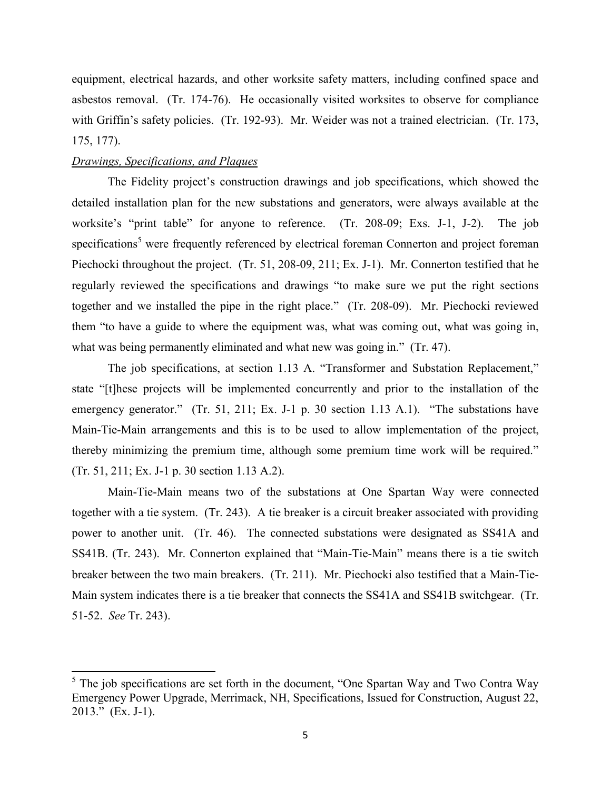equipment, electrical hazards, and other worksite safety matters, including confined space and asbestos removal. (Tr. 174-76). He occasionally visited worksites to observe for compliance with Griffin's safety policies. (Tr. 192-93). Mr. Weider was not a trained electrician. (Tr. 173, 175, 177).

# *Drawings, Specifications, and Plaques*

 $\overline{\phantom{a}}$ 

The Fidelity project's construction drawings and job specifications, which showed the detailed installation plan for the new substations and generators, were always available at the worksite's "print table" for anyone to reference. (Tr. 208-09; Exs. J-1, J-2). The job specifications<sup>5</sup> were frequently referenced by electrical foreman Connerton and project foreman Piechocki throughout the project. (Tr. 51, 208-09, 211; Ex. J-1). Mr. Connerton testified that he regularly reviewed the specifications and drawings "to make sure we put the right sections together and we installed the pipe in the right place." (Tr. 208-09). Mr. Piechocki reviewed them "to have a guide to where the equipment was, what was coming out, what was going in, what was being permanently eliminated and what new was going in." (Tr. 47).

The job specifications, at section 1.13 A. "Transformer and Substation Replacement," state "[t]hese projects will be implemented concurrently and prior to the installation of the emergency generator." (Tr. 51, 211; Ex. J-1 p. 30 section 1.13 A.1). "The substations have Main-Tie-Main arrangements and this is to be used to allow implementation of the project, thereby minimizing the premium time, although some premium time work will be required." (Tr. 51, 211; Ex. J-1 p. 30 section 1.13 A.2).

Main-Tie-Main means two of the substations at One Spartan Way were connected together with a tie system. (Tr. 243). A tie breaker is a circuit breaker associated with providing power to another unit. (Tr. 46). The connected substations were designated as SS41A and SS41B. (Tr. 243). Mr. Connerton explained that "Main-Tie-Main" means there is a tie switch breaker between the two main breakers. (Tr. 211). Mr. Piechocki also testified that a Main-Tie-Main system indicates there is a tie breaker that connects the SS41A and SS41B switchgear. (Tr. 51-52. *See* Tr. 243).

 $<sup>5</sup>$  The job specifications are set forth in the document, "One Spartan Way and Two Contra Way</sup> Emergency Power Upgrade, Merrimack, NH, Specifications, Issued for Construction, August 22, 2013." (Ex. J-1).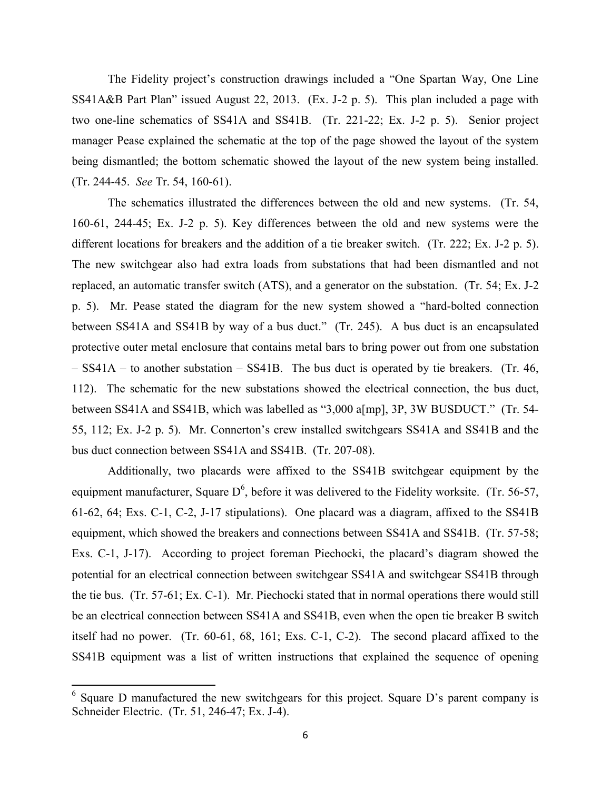The Fidelity project's construction drawings included a "One Spartan Way, One Line SS41A&B Part Plan" issued August 22, 2013. (Ex. J-2 p. 5). This plan included a page with two one-line schematics of SS41A and SS41B. (Tr. 221-22; Ex. J-2 p. 5). Senior project manager Pease explained the schematic at the top of the page showed the layout of the system being dismantled; the bottom schematic showed the layout of the new system being installed. (Tr. 244-45. *See* Tr. 54, 160-61).

The schematics illustrated the differences between the old and new systems. (Tr. 54, 160-61, 244-45; Ex. J-2 p. 5). Key differences between the old and new systems were the different locations for breakers and the addition of a tie breaker switch. (Tr. 222; Ex. J-2 p. 5). The new switchgear also had extra loads from substations that had been dismantled and not replaced, an automatic transfer switch (ATS), and a generator on the substation. (Tr. 54; Ex. J-2 p. 5). Mr. Pease stated the diagram for the new system showed a "hard-bolted connection between SS41A and SS41B by way of a bus duct." (Tr. 245). A bus duct is an encapsulated protective outer metal enclosure that contains metal bars to bring power out from one substation – SS41A – to another substation – SS41B. The bus duct is operated by tie breakers. (Tr. 46, 112). The schematic for the new substations showed the electrical connection, the bus duct, between SS41A and SS41B, which was labelled as "3,000 a[mp], 3P, 3W BUSDUCT." (Tr. 54- 55, 112; Ex. J-2 p. 5). Mr. Connerton's crew installed switchgears SS41A and SS41B and the bus duct connection between SS41A and SS41B. (Tr. 207-08).

Additionally, two placards were affixed to the SS41B switchgear equipment by the equipment manufacturer, Square  $D^6$ , before it was delivered to the Fidelity worksite. (Tr. 56-57, 61-62, 64; Exs. C-1, C-2, J-17 stipulations). One placard was a diagram, affixed to the SS41B equipment, which showed the breakers and connections between SS41A and SS41B. (Tr. 57-58; Exs. C-1, J-17). According to project foreman Piechocki, the placard's diagram showed the potential for an electrical connection between switchgear SS41A and switchgear SS41B through the tie bus. (Tr. 57-61; Ex. C-1). Mr. Piechocki stated that in normal operations there would still be an electrical connection between SS41A and SS41B, even when the open tie breaker B switch itself had no power. (Tr. 60-61, 68, 161; Exs. C-1, C-2). The second placard affixed to the SS41B equipment was a list of written instructions that explained the sequence of opening

<sup>6</sup> Square D manufactured the new switchgears for this project. Square D's parent company is Schneider Electric. (Tr. 51, 246-47; Ex. J-4).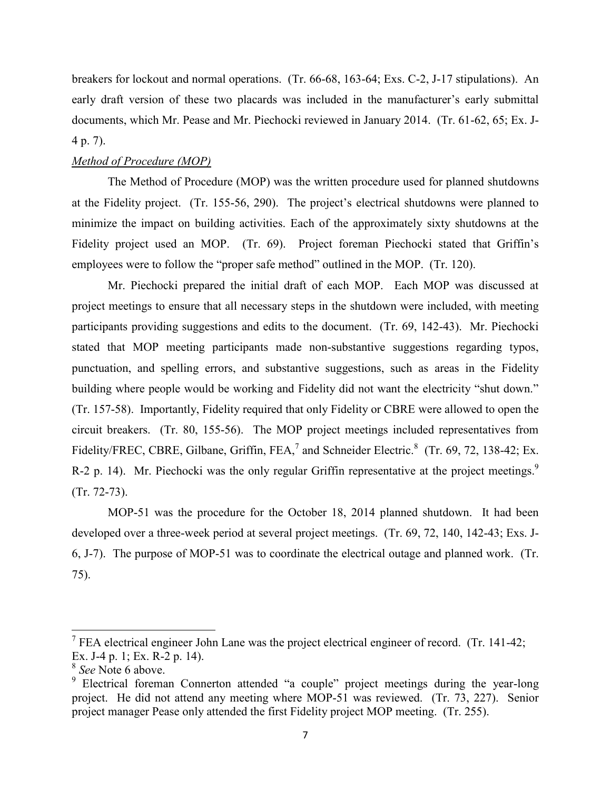breakers for lockout and normal operations. (Tr. 66-68, 163-64; Exs. C-2, J-17 stipulations). An early draft version of these two placards was included in the manufacturer's early submittal documents, which Mr. Pease and Mr. Piechocki reviewed in January 2014. (Tr. 61-62, 65; Ex. J-4 p. 7).

# *Method of Procedure (MOP)*

 The Method of Procedure (MOP) was the written procedure used for planned shutdowns at the Fidelity project. (Tr. 155-56, 290). The project's electrical shutdowns were planned to minimize the impact on building activities. Each of the approximately sixty shutdowns at the Fidelity project used an MOP. (Tr. 69). Project foreman Piechocki stated that Griffin's employees were to follow the "proper safe method" outlined in the MOP. (Tr. 120).

Mr. Piechocki prepared the initial draft of each MOP. Each MOP was discussed at project meetings to ensure that all necessary steps in the shutdown were included, with meeting participants providing suggestions and edits to the document. (Tr. 69, 142-43). Mr. Piechocki stated that MOP meeting participants made non-substantive suggestions regarding typos, punctuation, and spelling errors, and substantive suggestions, such as areas in the Fidelity building where people would be working and Fidelity did not want the electricity "shut down." (Tr. 157-58). Importantly, Fidelity required that only Fidelity or CBRE were allowed to open the circuit breakers. (Tr. 80, 155-56). The MOP project meetings included representatives from Fidelity/FREC, CBRE, Gilbane, Griffin, FEA,<sup>7</sup> and Schneider Electric.<sup>8</sup> (Tr. 69, 72, 138-42; Ex. R-2 p. 14). Mr. Piechocki was the only regular Griffin representative at the project meetings.<sup>9</sup> (Tr. 72-73).

MOP-51 was the procedure for the October 18, 2014 planned shutdown. It had been developed over a three-week period at several project meetings. (Tr. 69, 72, 140, 142-43; Exs. J-6, J-7). The purpose of MOP-51 was to coordinate the electrical outage and planned work. (Tr. 75).

<sup>&</sup>lt;sup>7</sup> FEA electrical engineer John Lane was the project electrical engineer of record. (Tr. 141-42; Ex. J-4 p. 1; Ex. R-2 p. 14).

<sup>8</sup> *See* Note 6 above.

<sup>&</sup>lt;sup>9</sup> Electrical foreman Connerton attended "a couple" project meetings during the year-long project. He did not attend any meeting where MOP-51 was reviewed. (Tr. 73, 227). Senior project manager Pease only attended the first Fidelity project MOP meeting. (Tr. 255).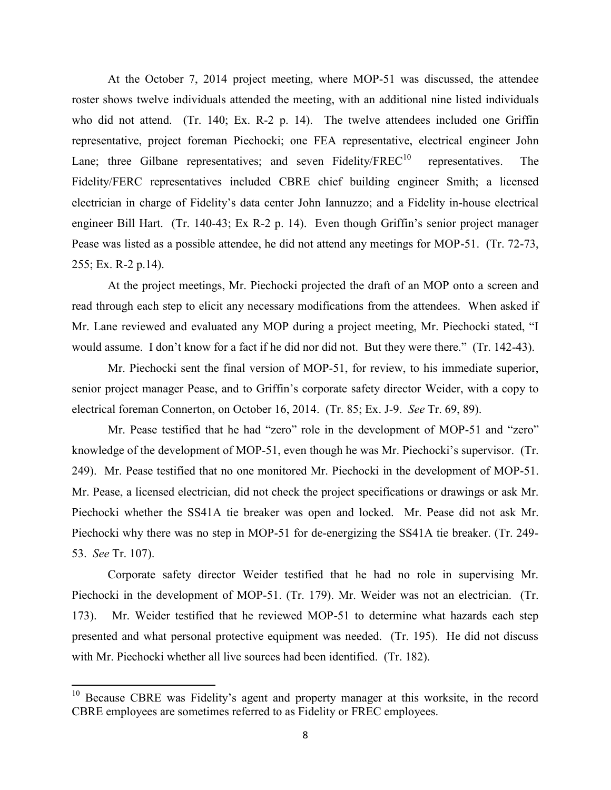At the October 7, 2014 project meeting, where MOP-51 was discussed, the attendee roster shows twelve individuals attended the meeting, with an additional nine listed individuals who did not attend. (Tr. 140; Ex. R-2 p. 14). The twelve attendees included one Griffin representative, project foreman Piechocki; one FEA representative, electrical engineer John Lane; three Gilbane representatives; and seven Fidelity/FREC<sup>10</sup> representatives. The Fidelity/FERC representatives included CBRE chief building engineer Smith; a licensed electrician in charge of Fidelity's data center John Iannuzzo; and a Fidelity in-house electrical engineer Bill Hart. (Tr. 140-43; Ex R-2 p. 14). Even though Griffin's senior project manager Pease was listed as a possible attendee, he did not attend any meetings for MOP-51. (Tr. 72-73, 255; Ex. R-2 p.14).

At the project meetings, Mr. Piechocki projected the draft of an MOP onto a screen and read through each step to elicit any necessary modifications from the attendees. When asked if Mr. Lane reviewed and evaluated any MOP during a project meeting, Mr. Piechocki stated, "I would assume. I don't know for a fact if he did nor did not. But they were there." (Tr. 142-43).

Mr. Piechocki sent the final version of MOP-51, for review, to his immediate superior, senior project manager Pease, and to Griffin's corporate safety director Weider, with a copy to electrical foreman Connerton, on October 16, 2014. (Tr. 85; Ex. J-9. *See* Tr. 69, 89).

Mr. Pease testified that he had "zero" role in the development of MOP-51 and "zero" knowledge of the development of MOP-51, even though he was Mr. Piechocki's supervisor. (Tr. 249). Mr. Pease testified that no one monitored Mr. Piechocki in the development of MOP-51. Mr. Pease, a licensed electrician, did not check the project specifications or drawings or ask Mr. Piechocki whether the SS41A tie breaker was open and locked. Mr. Pease did not ask Mr. Piechocki why there was no step in MOP-51 for de-energizing the SS41A tie breaker. (Tr. 249- 53. *See* Tr. 107).

Corporate safety director Weider testified that he had no role in supervising Mr. Piechocki in the development of MOP-51. (Tr. 179). Mr. Weider was not an electrician. (Tr. 173). Mr. Weider testified that he reviewed MOP-51 to determine what hazards each step presented and what personal protective equipment was needed. (Tr. 195). He did not discuss with Mr. Piechocki whether all live sources had been identified. (Tr. 182).

<sup>&</sup>lt;sup>10</sup> Because CBRE was Fidelity's agent and property manager at this worksite, in the record CBRE employees are sometimes referred to as Fidelity or FREC employees.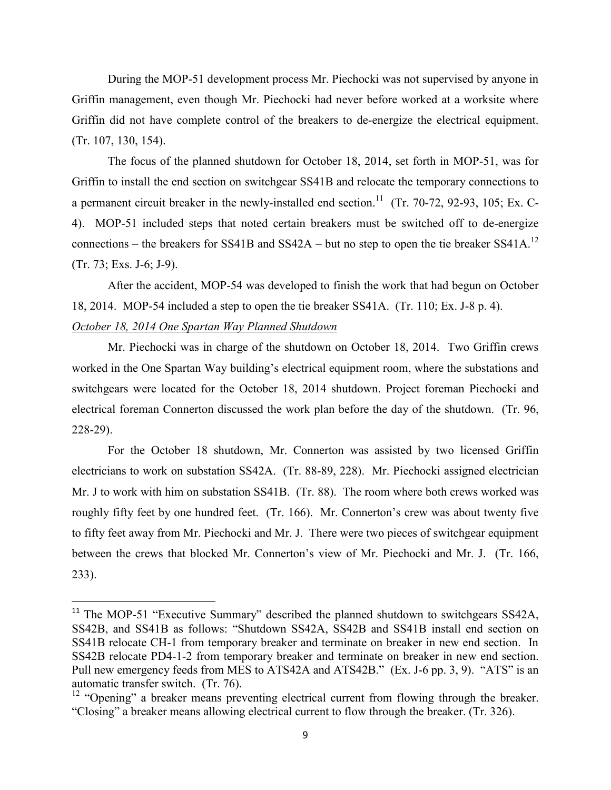During the MOP-51 development process Mr. Piechocki was not supervised by anyone in Griffin management, even though Mr. Piechocki had never before worked at a worksite where Griffin did not have complete control of the breakers to de-energize the electrical equipment. (Tr. 107, 130, 154).

The focus of the planned shutdown for October 18, 2014, set forth in MOP-51, was for Griffin to install the end section on switchgear SS41B and relocate the temporary connections to a permanent circuit breaker in the newly-installed end section.<sup>11</sup> (Tr. 70-72, 92-93, 105; Ex. C-4). MOP-51 included steps that noted certain breakers must be switched off to de-energize connections – the breakers for SS41B and SS42A – but no step to open the tie breaker SS41A.<sup>12</sup> (Tr. 73; Exs. J-6; J-9).

After the accident, MOP-54 was developed to finish the work that had begun on October 18, 2014. MOP-54 included a step to open the tie breaker SS41A. (Tr. 110; Ex. J-8 p. 4). *October 18, 2014 One Spartan Way Planned Shutdown*

 Mr. Piechocki was in charge of the shutdown on October 18, 2014. Two Griffin crews worked in the One Spartan Way building's electrical equipment room, where the substations and switchgears were located for the October 18, 2014 shutdown. Project foreman Piechocki and electrical foreman Connerton discussed the work plan before the day of the shutdown. (Tr. 96, 228-29).

For the October 18 shutdown, Mr. Connerton was assisted by two licensed Griffin electricians to work on substation SS42A. (Tr. 88-89, 228). Mr. Piechocki assigned electrician Mr. J to work with him on substation SS41B. (Tr. 88). The room where both crews worked was roughly fifty feet by one hundred feet. (Tr. 166). Mr. Connerton's crew was about twenty five to fifty feet away from Mr. Piechocki and Mr. J. There were two pieces of switchgear equipment between the crews that blocked Mr. Connerton's view of Mr. Piechocki and Mr. J. (Tr. 166, 233).

<sup>&</sup>lt;sup>11</sup> The MOP-51 "Executive Summary" described the planned shutdown to switchgears SS42A, SS42B, and SS41B as follows: "Shutdown SS42A, SS42B and SS41B install end section on SS41B relocate CH-1 from temporary breaker and terminate on breaker in new end section. In SS42B relocate PD4-1-2 from temporary breaker and terminate on breaker in new end section. Pull new emergency feeds from MES to ATS42A and ATS42B." (Ex. J-6 pp. 3, 9). "ATS" is an automatic transfer switch. (Tr. 76).

 $12$  "Opening" a breaker means preventing electrical current from flowing through the breaker. "Closing" a breaker means allowing electrical current to flow through the breaker. (Tr. 326).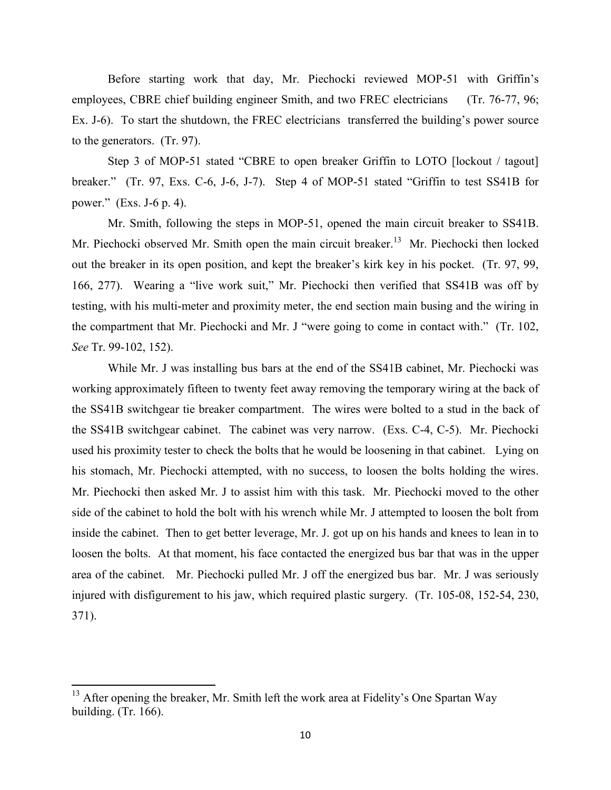Before starting work that day, Mr. Piechocki reviewed MOP-51 with Griffin's employees, CBRE chief building engineer Smith, and two FREC electricians (Tr. 76-77, 96; Ex. J-6). To start the shutdown, the FREC electricians transferred the building's power source to the generators. (Tr. 97).

Step 3 of MOP-51 stated "CBRE to open breaker Griffin to LOTO [lockout / tagout] breaker." (Tr. 97, Exs. C-6, J-6, J-7). Step 4 of MOP-51 stated "Griffin to test SS41B for power." (Exs. J-6 p. 4).

Mr. Smith, following the steps in MOP-51, opened the main circuit breaker to SS41B. Mr. Piechocki observed Mr. Smith open the main circuit breaker.<sup>13</sup> Mr. Piechocki then locked out the breaker in its open position, and kept the breaker's kirk key in his pocket. (Tr. 97, 99, 166, 277). Wearing a "live work suit," Mr. Piechocki then verified that SS41B was off by testing, with his multi-meter and proximity meter, the end section main busing and the wiring in the compartment that Mr. Piechocki and Mr. J "were going to come in contact with." (Tr. 102, *See* Tr. 99-102, 152).

While Mr. J was installing bus bars at the end of the SS41B cabinet, Mr. Piechocki was working approximately fifteen to twenty feet away removing the temporary wiring at the back of the SS41B switchgear tie breaker compartment. The wires were bolted to a stud in the back of the SS41B switchgear cabinet. The cabinet was very narrow. (Exs. C-4, C-5). Mr. Piechocki used his proximity tester to check the bolts that he would be loosening in that cabinet. Lying on his stomach, Mr. Piechocki attempted, with no success, to loosen the bolts holding the wires. Mr. Piechocki then asked Mr. J to assist him with this task. Mr. Piechocki moved to the other side of the cabinet to hold the bolt with his wrench while Mr. J attempted to loosen the bolt from inside the cabinet. Then to get better leverage, Mr. J. got up on his hands and knees to lean in to loosen the bolts. At that moment, his face contacted the energized bus bar that was in the upper area of the cabinet. Mr. Piechocki pulled Mr. J off the energized bus bar. Mr. J was seriously injured with disfigurement to his jaw, which required plastic surgery. (Tr. 105-08, 152-54, 230, 371).

 $13$  After opening the breaker, Mr. Smith left the work area at Fidelity's One Spartan Way building. (Tr. 166).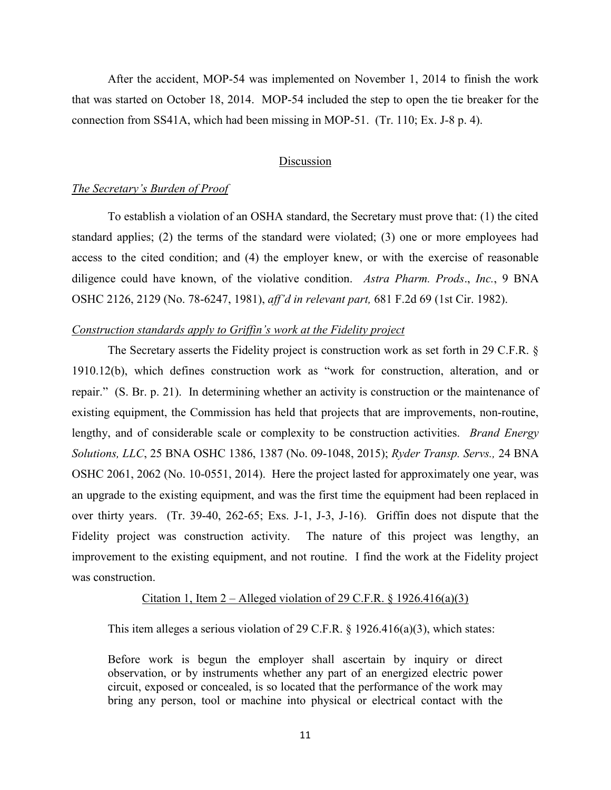After the accident, MOP-54 was implemented on November 1, 2014 to finish the work that was started on October 18, 2014. MOP-54 included the step to open the tie breaker for the connection from SS41A, which had been missing in MOP-51. (Tr. 110; Ex. J-8 p. 4).

## Discussion

#### *The Secretary's Burden of Proof*

To establish a violation of an OSHA standard, the Secretary must prove that: (1) the cited standard applies; (2) the terms of the standard were violated; (3) one or more employees had access to the cited condition; and (4) the employer knew, or with the exercise of reasonable diligence could have known, of the violative condition. *Astra Pharm. Prods*., *Inc.*, 9 BNA OSHC 2126, 2129 (No. 78-6247, 1981), *aff'd in relevant part,* 681 F.2d 69 (1st Cir. 1982).

### *Construction standards apply to Griffin's work at the Fidelity project*

The Secretary asserts the Fidelity project is construction work as set forth in 29 C.F.R. § 1910.12(b), which defines construction work as "work for construction, alteration, and or repair." (S. Br. p. 21). In determining whether an activity is construction or the maintenance of existing equipment, the Commission has held that projects that are improvements, non-routine, lengthy, and of considerable scale or complexity to be construction activities. *Brand Energy Solutions, LLC*, 25 BNA OSHC 1386, 1387 (No. 09-1048, 2015); *Ryder Transp. Servs.,* 24 BNA OSHC 2061, 2062 (No. 10-0551, 2014). Here the project lasted for approximately one year, was an upgrade to the existing equipment, and was the first time the equipment had been replaced in over thirty years. (Tr. 39-40, 262-65; Exs. J-1, J-3, J-16). Griffin does not dispute that the Fidelity project was construction activity. The nature of this project was lengthy, an improvement to the existing equipment, and not routine. I find the work at the Fidelity project was construction.

#### Citation 1, Item 2 – Alleged violation of 29 C.F.R.  $\S 1926.416(a)(3)$

This item alleges a serious violation of 29 C.F.R.  $\S$  1926.416(a)(3), which states:

Before work is begun the employer shall ascertain by inquiry or direct observation, or by instruments whether any part of an energized electric power circuit, exposed or concealed, is so located that the performance of the work may bring any person, tool or machine into physical or electrical contact with the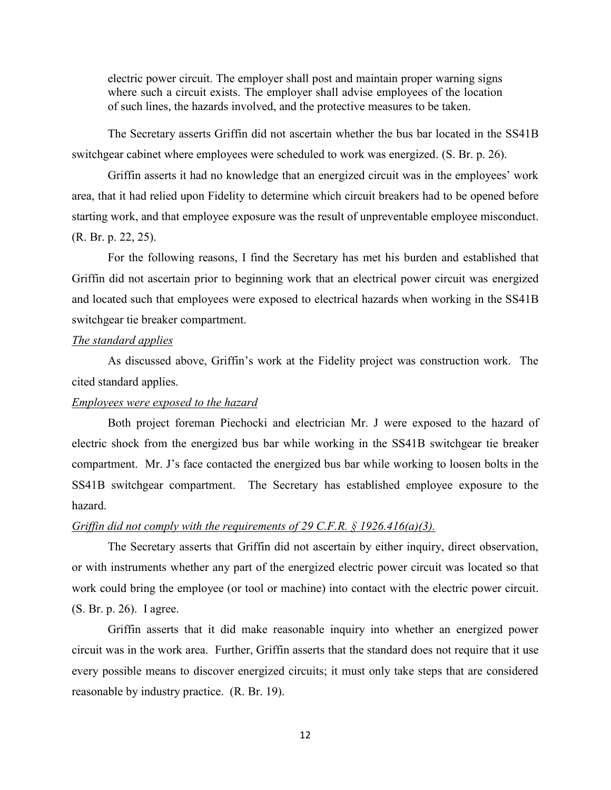electric power circuit. The employer shall post and maintain proper warning signs where such a circuit exists. The employer shall advise employees of the location of such lines, the hazards involved, and the protective measures to be taken.

The Secretary asserts Griffin did not ascertain whether the bus bar located in the SS41B switchgear cabinet where employees were scheduled to work was energized. (S. Br. p. 26).

Griffin asserts it had no knowledge that an energized circuit was in the employees' work area, that it had relied upon Fidelity to determine which circuit breakers had to be opened before starting work, and that employee exposure was the result of unpreventable employee misconduct. (R. Br. p. 22, 25).

For the following reasons, I find the Secretary has met his burden and established that Griffin did not ascertain prior to beginning work that an electrical power circuit was energized and located such that employees were exposed to electrical hazards when working in the SS41B switchgear tie breaker compartment.

#### *The standard applies*

As discussed above, Griffin's work at the Fidelity project was construction work. The cited standard applies.

#### *Employees were exposed to the hazard*

 Both project foreman Piechocki and electrician Mr. J were exposed to the hazard of electric shock from the energized bus bar while working in the SS41B switchgear tie breaker compartment. Mr. J's face contacted the energized bus bar while working to loosen bolts in the SS41B switchgear compartment. The Secretary has established employee exposure to the hazard.

#### *Griffin did not comply with the requirements of 29 C.F.R. § 1926.416(a)(3).*

 The Secretary asserts that Griffin did not ascertain by either inquiry, direct observation, or with instruments whether any part of the energized electric power circuit was located so that work could bring the employee (or tool or machine) into contact with the electric power circuit. (S. Br. p. 26). I agree.

 Griffin asserts that it did make reasonable inquiry into whether an energized power circuit was in the work area. Further, Griffin asserts that the standard does not require that it use every possible means to discover energized circuits; it must only take steps that are considered reasonable by industry practice. (R. Br. 19).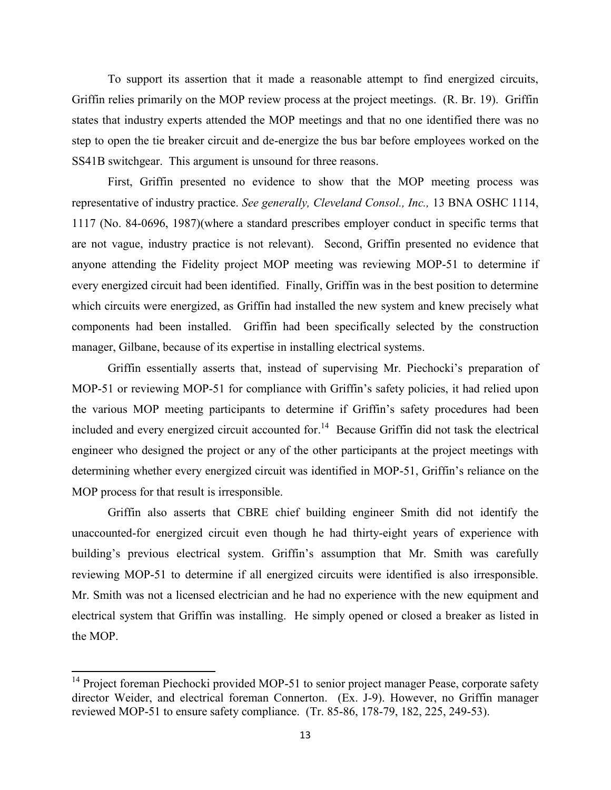To support its assertion that it made a reasonable attempt to find energized circuits, Griffin relies primarily on the MOP review process at the project meetings. (R. Br. 19). Griffin states that industry experts attended the MOP meetings and that no one identified there was no step to open the tie breaker circuit and de-energize the bus bar before employees worked on the SS41B switchgear. This argument is unsound for three reasons.

First, Griffin presented no evidence to show that the MOP meeting process was representative of industry practice. *See generally, Cleveland Consol., Inc.,* 13 BNA OSHC 1114, 1117 (No. 84-0696, 1987)(where a standard prescribes employer conduct in specific terms that are not vague, industry practice is not relevant). Second, Griffin presented no evidence that anyone attending the Fidelity project MOP meeting was reviewing MOP-51 to determine if every energized circuit had been identified. Finally, Griffin was in the best position to determine which circuits were energized, as Griffin had installed the new system and knew precisely what components had been installed. Griffin had been specifically selected by the construction manager, Gilbane, because of its expertise in installing electrical systems.

Griffin essentially asserts that, instead of supervising Mr. Piechocki's preparation of MOP-51 or reviewing MOP-51 for compliance with Griffin's safety policies, it had relied upon the various MOP meeting participants to determine if Griffin's safety procedures had been included and every energized circuit accounted for.<sup>14</sup> Because Griffin did not task the electrical engineer who designed the project or any of the other participants at the project meetings with determining whether every energized circuit was identified in MOP-51, Griffin's reliance on the MOP process for that result is irresponsible.

Griffin also asserts that CBRE chief building engineer Smith did not identify the unaccounted-for energized circuit even though he had thirty-eight years of experience with building's previous electrical system. Griffin's assumption that Mr. Smith was carefully reviewing MOP-51 to determine if all energized circuits were identified is also irresponsible. Mr. Smith was not a licensed electrician and he had no experience with the new equipment and electrical system that Griffin was installing. He simply opened or closed a breaker as listed in the MOP.

 $14$  Project foreman Piechocki provided MOP-51 to senior project manager Pease, corporate safety director Weider, and electrical foreman Connerton. (Ex. J-9). However, no Griffin manager reviewed MOP-51 to ensure safety compliance. (Tr. 85-86, 178-79, 182, 225, 249-53).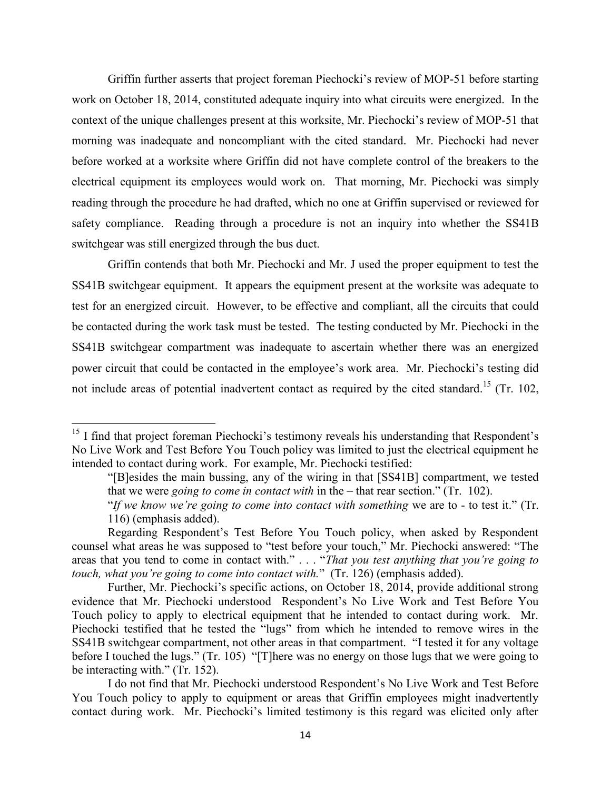Griffin further asserts that project foreman Piechocki's review of MOP-51 before starting work on October 18, 2014, constituted adequate inquiry into what circuits were energized. In the context of the unique challenges present at this worksite, Mr. Piechocki's review of MOP-51 that morning was inadequate and noncompliant with the cited standard. Mr. Piechocki had never before worked at a worksite where Griffin did not have complete control of the breakers to the electrical equipment its employees would work on. That morning, Mr. Piechocki was simply reading through the procedure he had drafted, which no one at Griffin supervised or reviewed for safety compliance. Reading through a procedure is not an inquiry into whether the SS41B switchgear was still energized through the bus duct.

Griffin contends that both Mr. Piechocki and Mr. J used the proper equipment to test the SS41B switchgear equipment. It appears the equipment present at the worksite was adequate to test for an energized circuit. However, to be effective and compliant, all the circuits that could be contacted during the work task must be tested. The testing conducted by Mr. Piechocki in the SS41B switchgear compartment was inadequate to ascertain whether there was an energized power circuit that could be contacted in the employee's work area. Mr. Piechocki's testing did not include areas of potential inadvertent contact as required by the cited standard.<sup>15</sup> (Tr. 102,

l

 I do not find that Mr. Piechocki understood Respondent's No Live Work and Test Before You Touch policy to apply to equipment or areas that Griffin employees might inadvertently contact during work. Mr. Piechocki's limited testimony is this regard was elicited only after

<sup>&</sup>lt;sup>15</sup> I find that project foreman Piechocki's testimony reveals his understanding that Respondent's No Live Work and Test Before You Touch policy was limited to just the electrical equipment he intended to contact during work. For example, Mr. Piechocki testified:

<sup>&</sup>quot;[B]esides the main bussing, any of the wiring in that [SS41B] compartment, we tested that we were *going to come in contact with* in the – that rear section." (Tr. 102).

<sup>&</sup>quot;*If we know we're going to come into contact with something* we are to - to test it." (Tr. 116) (emphasis added).

Regarding Respondent's Test Before You Touch policy, when asked by Respondent counsel what areas he was supposed to "test before your touch," Mr. Piechocki answered: "The areas that you tend to come in contact with." . . . "*That you test anything that you're going to touch, what you're going to come into contact with.*" (Tr. 126) (emphasis added).

Further, Mr. Piechocki's specific actions, on October 18, 2014, provide additional strong evidence that Mr. Piechocki understood Respondent's No Live Work and Test Before You Touch policy to apply to electrical equipment that he intended to contact during work. Mr. Piechocki testified that he tested the "lugs" from which he intended to remove wires in the SS41B switchgear compartment, not other areas in that compartment. "I tested it for any voltage before I touched the lugs." (Tr. 105) "[T]here was no energy on those lugs that we were going to be interacting with." (Tr. 152).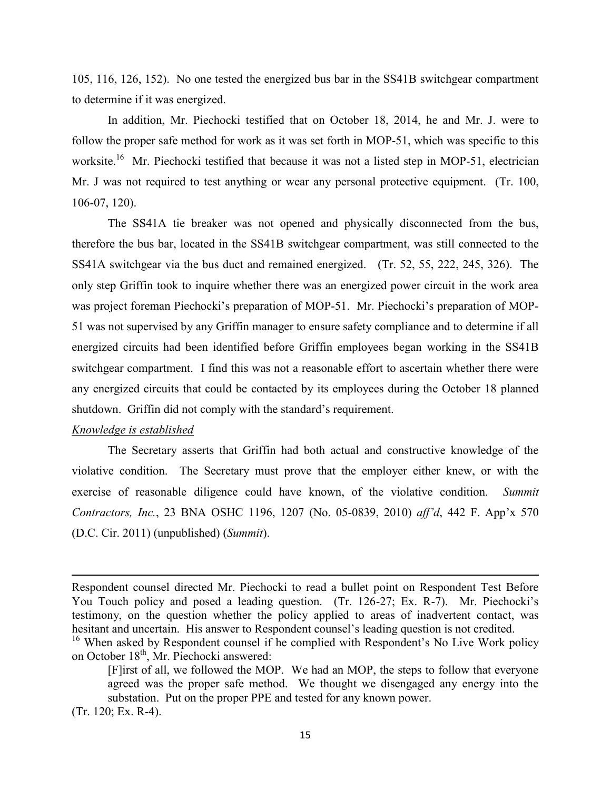105, 116, 126, 152). No one tested the energized bus bar in the SS41B switchgear compartment to determine if it was energized.

In addition, Mr. Piechocki testified that on October 18, 2014, he and Mr. J. were to follow the proper safe method for work as it was set forth in MOP-51, which was specific to this worksite.<sup>16</sup> Mr. Piechocki testified that because it was not a listed step in MOP-51, electrician Mr. J was not required to test anything or wear any personal protective equipment. (Tr. 100, 106-07, 120).

The SS41A tie breaker was not opened and physically disconnected from the bus, therefore the bus bar, located in the SS41B switchgear compartment, was still connected to the SS41A switchgear via the bus duct and remained energized. (Tr. 52, 55, 222, 245, 326). The only step Griffin took to inquire whether there was an energized power circuit in the work area was project foreman Piechocki's preparation of MOP-51. Mr. Piechocki's preparation of MOP-51 was not supervised by any Griffin manager to ensure safety compliance and to determine if all energized circuits had been identified before Griffin employees began working in the SS41B switchgear compartment. I find this was not a reasonable effort to ascertain whether there were any energized circuits that could be contacted by its employees during the October 18 planned shutdown. Griffin did not comply with the standard's requirement.

## *Knowledge is established*

 The Secretary asserts that Griffin had both actual and constructive knowledge of the violative condition. The Secretary must prove that the employer either knew, or with the exercise of reasonable diligence could have known, of the violative condition*. Summit Contractors, Inc.*, 23 BNA OSHC 1196, 1207 (No. 05-0839, 2010) *aff'd*, 442 F. App'x 570 (D.C. Cir. 2011) (unpublished) (*Summit*).

 $\overline{a}$ 

Respondent counsel directed Mr. Piechocki to read a bullet point on Respondent Test Before You Touch policy and posed a leading question. (Tr. 126-27; Ex. R-7). Mr. Piechocki's testimony, on the question whether the policy applied to areas of inadvertent contact, was hesitant and uncertain. His answer to Respondent counsel's leading question is not credited.

<sup>&</sup>lt;sup>16</sup> When asked by Respondent counsel if he complied with Respondent's No Live Work policy on October 18<sup>th</sup>, Mr. Piechocki answered:

<sup>[</sup>F]irst of all, we followed the MOP. We had an MOP, the steps to follow that everyone agreed was the proper safe method. We thought we disengaged any energy into the substation. Put on the proper PPE and tested for any known power.

<sup>(</sup>Tr. 120; Ex. R-4).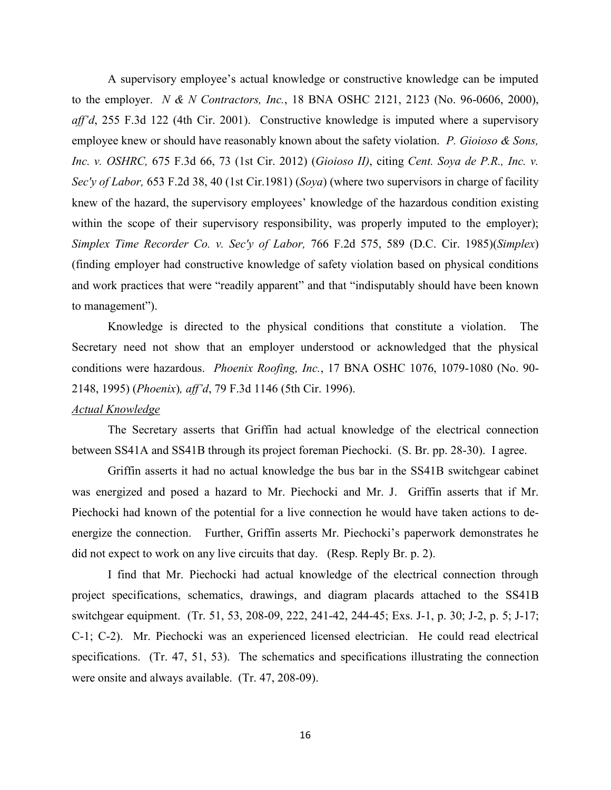A supervisory employee's actual knowledge or constructive knowledge can be imputed to the employer. *N & N Contractors, Inc.*, 18 BNA OSHC 2121, 2123 (No. 96-0606, 2000), *aff'd*, 255 F.3d 122 (4th Cir. 2001). Constructive knowledge is imputed where a supervisory employee knew or should have reasonably known about the safety violation. *P. Gioioso & Sons, Inc. v. OSHRC,* 675 F.3d 66, 73 (1st Cir. 2012) (*Gioioso II)*, citing *Cent. Soya de P.R., Inc. v. Sec'y of Labor,* 653 F.2d 38, 40 (1st Cir.1981) (*Soya*) (where two supervisors in charge of facility knew of the hazard, the supervisory employees' knowledge of the hazardous condition existing within the scope of their supervisory responsibility, was properly imputed to the employer); *Simplex Time Recorder Co. v. Sec'y of Labor,* 766 F.2d 575, 589 (D.C. Cir. 1985)(*Simplex*) (finding employer had constructive knowledge of safety violation based on physical conditions and work practices that were "readily apparent" and that "indisputably should have been known to management").

Knowledge is directed to the physical conditions that constitute a violation. The Secretary need not show that an employer understood or acknowledged that the physical conditions were hazardous. *Phoenix Roofing, Inc.*, 17 BNA OSHC 1076, 1079-1080 (No. 90- 2148, 1995) (*Phoenix*)*, aff'd*, 79 F.3d 1146 (5th Cir. 1996).

## *Actual Knowledge*

The Secretary asserts that Griffin had actual knowledge of the electrical connection between SS41A and SS41B through its project foreman Piechocki. (S. Br. pp. 28-30). I agree.

 Griffin asserts it had no actual knowledge the bus bar in the SS41B switchgear cabinet was energized and posed a hazard to Mr. Piechocki and Mr. J. Griffin asserts that if Mr. Piechocki had known of the potential for a live connection he would have taken actions to deenergize the connection. Further, Griffin asserts Mr. Piechocki's paperwork demonstrates he did not expect to work on any live circuits that day. (Resp. Reply Br. p. 2).

I find that Mr. Piechocki had actual knowledge of the electrical connection through project specifications, schematics, drawings, and diagram placards attached to the SS41B switchgear equipment. (Tr. 51, 53, 208-09, 222, 241-42, 244-45; Exs. J-1, p. 30; J-2, p. 5; J-17; C-1; C-2). Mr. Piechocki was an experienced licensed electrician. He could read electrical specifications. (Tr. 47, 51, 53). The schematics and specifications illustrating the connection were onsite and always available. (Tr. 47, 208-09).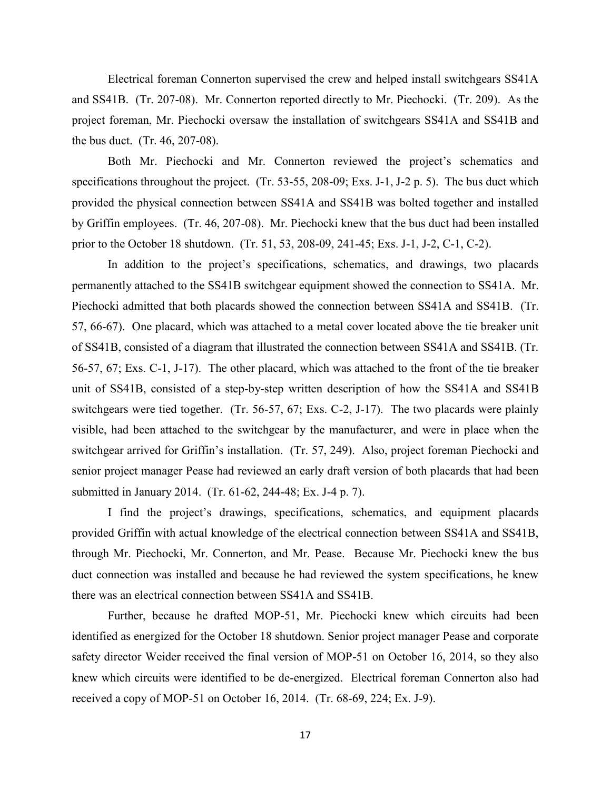Electrical foreman Connerton supervised the crew and helped install switchgears SS41A and SS41B. (Tr. 207-08). Mr. Connerton reported directly to Mr. Piechocki. (Tr. 209). As the project foreman, Mr. Piechocki oversaw the installation of switchgears SS41A and SS41B and the bus duct. (Tr. 46, 207-08).

Both Mr. Piechocki and Mr. Connerton reviewed the project's schematics and specifications throughout the project. (Tr. 53-55, 208-09; Exs. J-1, J-2 p. 5). The bus duct which provided the physical connection between SS41A and SS41B was bolted together and installed by Griffin employees. (Tr. 46, 207-08). Mr. Piechocki knew that the bus duct had been installed prior to the October 18 shutdown. (Tr. 51, 53, 208-09, 241-45; Exs. J-1, J-2, C-1, C-2).

 In addition to the project's specifications, schematics, and drawings, two placards permanently attached to the SS41B switchgear equipment showed the connection to SS41A. Mr. Piechocki admitted that both placards showed the connection between SS41A and SS41B. (Tr. 57, 66-67). One placard, which was attached to a metal cover located above the tie breaker unit of SS41B, consisted of a diagram that illustrated the connection between SS41A and SS41B. (Tr. 56-57, 67; Exs. C-1, J-17). The other placard, which was attached to the front of the tie breaker unit of SS41B, consisted of a step-by-step written description of how the SS41A and SS41B switchgears were tied together. (Tr. 56-57, 67; Exs. C-2, J-17). The two placards were plainly visible, had been attached to the switchgear by the manufacturer, and were in place when the switchgear arrived for Griffin's installation. (Tr. 57, 249). Also, project foreman Piechocki and senior project manager Pease had reviewed an early draft version of both placards that had been submitted in January 2014. (Tr. 61-62, 244-48; Ex. J-4 p. 7).

 I find the project's drawings, specifications, schematics, and equipment placards provided Griffin with actual knowledge of the electrical connection between SS41A and SS41B, through Mr. Piechocki, Mr. Connerton, and Mr. Pease. Because Mr. Piechocki knew the bus duct connection was installed and because he had reviewed the system specifications, he knew there was an electrical connection between SS41A and SS41B.

Further, because he drafted MOP-51, Mr. Piechocki knew which circuits had been identified as energized for the October 18 shutdown. Senior project manager Pease and corporate safety director Weider received the final version of MOP-51 on October 16, 2014, so they also knew which circuits were identified to be de-energized. Electrical foreman Connerton also had received a copy of MOP-51 on October 16, 2014. (Tr. 68-69, 224; Ex. J-9).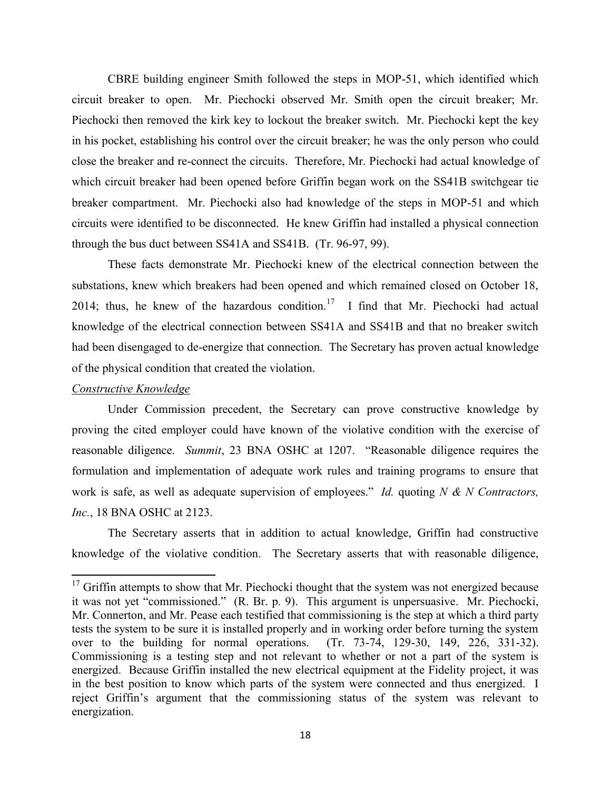CBRE building engineer Smith followed the steps in MOP-51, which identified which circuit breaker to open. Mr. Piechocki observed Mr. Smith open the circuit breaker; Mr. Piechocki then removed the kirk key to lockout the breaker switch. Mr. Piechocki kept the key in his pocket, establishing his control over the circuit breaker; he was the only person who could close the breaker and re-connect the circuits. Therefore, Mr. Piechocki had actual knowledge of which circuit breaker had been opened before Griffin began work on the SS41B switchgear tie breaker compartment. Mr. Piechocki also had knowledge of the steps in MOP-51 and which circuits were identified to be disconnected. He knew Griffin had installed a physical connection through the bus duct between SS41A and SS41B. (Tr. 96-97, 99).

These facts demonstrate Mr. Piechocki knew of the electrical connection between the substations, knew which breakers had been opened and which remained closed on October 18, 2014; thus, he knew of the hazardous condition.<sup>17</sup> I find that Mr. Piechocki had actual knowledge of the electrical connection between SS41A and SS41B and that no breaker switch had been disengaged to de-energize that connection. The Secretary has proven actual knowledge of the physical condition that created the violation.

## *Constructive Knowledge*

 $\overline{a}$ 

Under Commission precedent, the Secretary can prove constructive knowledge by proving the cited employer could have known of the violative condition with the exercise of reasonable diligence. *Summit*, 23 BNA OSHC at 1207. "Reasonable diligence requires the formulation and implementation of adequate work rules and training programs to ensure that work is safe, as well as adequate supervision of employees." *Id.* quoting *N & N Contractors, Inc.*, 18 BNA OSHC at 2123.

The Secretary asserts that in addition to actual knowledge, Griffin had constructive knowledge of the violative condition. The Secretary asserts that with reasonable diligence,

 $17$  Griffin attempts to show that Mr. Piechocki thought that the system was not energized because it was not yet "commissioned." (R. Br. p. 9). This argument is unpersuasive. Mr. Piechocki, Mr. Connerton, and Mr. Pease each testified that commissioning is the step at which a third party tests the system to be sure it is installed properly and in working order before turning the system over to the building for normal operations. (Tr. 73-74, 129-30, 149, 226, 331-32). Commissioning is a testing step and not relevant to whether or not a part of the system is energized. Because Griffin installed the new electrical equipment at the Fidelity project, it was in the best position to know which parts of the system were connected and thus energized. I reject Griffin's argument that the commissioning status of the system was relevant to energization.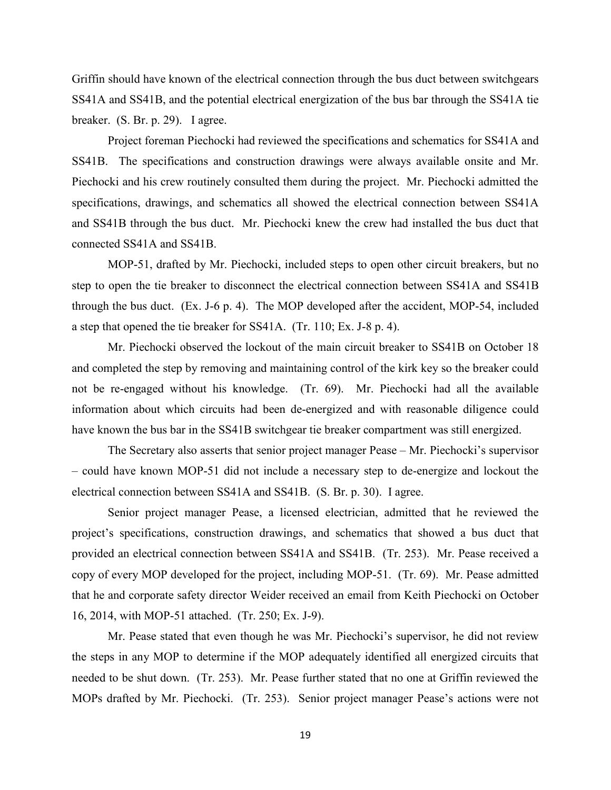Griffin should have known of the electrical connection through the bus duct between switchgears SS41A and SS41B, and the potential electrical energization of the bus bar through the SS41A tie breaker. (S. Br. p. 29). I agree.

Project foreman Piechocki had reviewed the specifications and schematics for SS41A and SS41B. The specifications and construction drawings were always available onsite and Mr. Piechocki and his crew routinely consulted them during the project. Mr. Piechocki admitted the specifications, drawings, and schematics all showed the electrical connection between SS41A and SS41B through the bus duct. Mr. Piechocki knew the crew had installed the bus duct that connected SS41A and SS41B.

MOP-51, drafted by Mr. Piechocki, included steps to open other circuit breakers, but no step to open the tie breaker to disconnect the electrical connection between SS41A and SS41B through the bus duct. (Ex. J-6 p. 4). The MOP developed after the accident, MOP-54, included a step that opened the tie breaker for SS41A. (Tr. 110; Ex. J-8 p. 4).

Mr. Piechocki observed the lockout of the main circuit breaker to SS41B on October 18 and completed the step by removing and maintaining control of the kirk key so the breaker could not be re-engaged without his knowledge. (Tr. 69). Mr. Piechocki had all the available information about which circuits had been de-energized and with reasonable diligence could have known the bus bar in the SS41B switchgear tie breaker compartment was still energized.

The Secretary also asserts that senior project manager Pease – Mr. Piechocki's supervisor – could have known MOP-51 did not include a necessary step to de-energize and lockout the electrical connection between SS41A and SS41B. (S. Br. p. 30). I agree.

Senior project manager Pease, a licensed electrician, admitted that he reviewed the project's specifications, construction drawings, and schematics that showed a bus duct that provided an electrical connection between SS41A and SS41B. (Tr. 253). Mr. Pease received a copy of every MOP developed for the project, including MOP-51. (Tr. 69). Mr. Pease admitted that he and corporate safety director Weider received an email from Keith Piechocki on October 16, 2014, with MOP-51 attached. (Tr. 250; Ex. J-9).

Mr. Pease stated that even though he was Mr. Piechocki's supervisor, he did not review the steps in any MOP to determine if the MOP adequately identified all energized circuits that needed to be shut down. (Tr. 253). Mr. Pease further stated that no one at Griffin reviewed the MOPs drafted by Mr. Piechocki. (Tr. 253). Senior project manager Pease's actions were not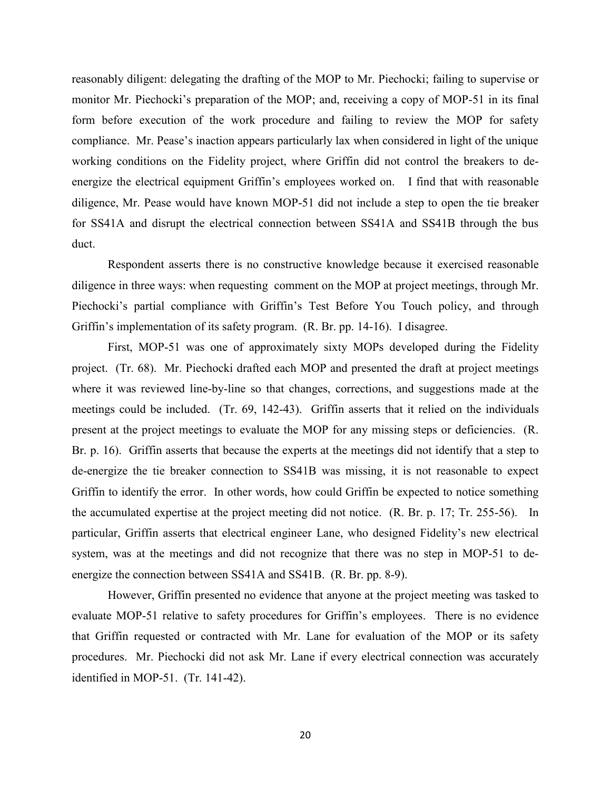reasonably diligent: delegating the drafting of the MOP to Mr. Piechocki; failing to supervise or monitor Mr. Piechocki's preparation of the MOP; and, receiving a copy of MOP-51 in its final form before execution of the work procedure and failing to review the MOP for safety compliance. Mr. Pease's inaction appears particularly lax when considered in light of the unique working conditions on the Fidelity project, where Griffin did not control the breakers to deenergize the electrical equipment Griffin's employees worked on. I find that with reasonable diligence, Mr. Pease would have known MOP-51 did not include a step to open the tie breaker for SS41A and disrupt the electrical connection between SS41A and SS41B through the bus duct.

 Respondent asserts there is no constructive knowledge because it exercised reasonable diligence in three ways: when requesting comment on the MOP at project meetings, through Mr. Piechocki's partial compliance with Griffin's Test Before You Touch policy, and through Griffin's implementation of its safety program. (R. Br. pp. 14-16). I disagree.

 First, MOP-51 was one of approximately sixty MOPs developed during the Fidelity project. (Tr. 68). Mr. Piechocki drafted each MOP and presented the draft at project meetings where it was reviewed line-by-line so that changes, corrections, and suggestions made at the meetings could be included. (Tr. 69, 142-43). Griffin asserts that it relied on the individuals present at the project meetings to evaluate the MOP for any missing steps or deficiencies. (R. Br. p. 16). Griffin asserts that because the experts at the meetings did not identify that a step to de-energize the tie breaker connection to SS41B was missing, it is not reasonable to expect Griffin to identify the error. In other words, how could Griffin be expected to notice something the accumulated expertise at the project meeting did not notice. (R. Br. p. 17; Tr. 255-56). In particular, Griffin asserts that electrical engineer Lane, who designed Fidelity's new electrical system, was at the meetings and did not recognize that there was no step in MOP-51 to deenergize the connection between SS41A and SS41B. (R. Br. pp. 8-9).

However, Griffin presented no evidence that anyone at the project meeting was tasked to evaluate MOP-51 relative to safety procedures for Griffin's employees. There is no evidence that Griffin requested or contracted with Mr. Lane for evaluation of the MOP or its safety procedures. Mr. Piechocki did not ask Mr. Lane if every electrical connection was accurately identified in MOP-51. (Tr. 141-42).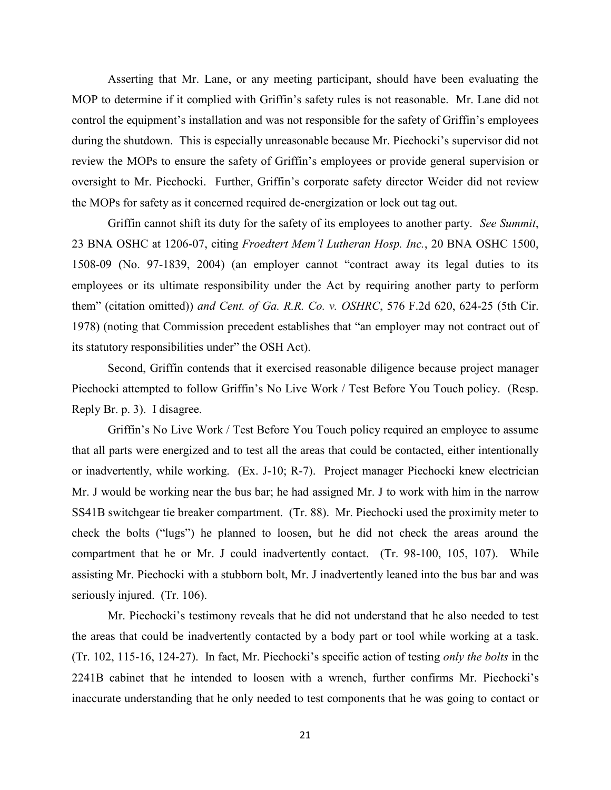Asserting that Mr. Lane, or any meeting participant, should have been evaluating the MOP to determine if it complied with Griffin's safety rules is not reasonable. Mr. Lane did not control the equipment's installation and was not responsible for the safety of Griffin's employees during the shutdown. This is especially unreasonable because Mr. Piechocki's supervisor did not review the MOPs to ensure the safety of Griffin's employees or provide general supervision or oversight to Mr. Piechocki. Further, Griffin's corporate safety director Weider did not review the MOPs for safety as it concerned required de-energization or lock out tag out.

Griffin cannot shift its duty for the safety of its employees to another party. *See Summit*, 23 BNA OSHC at 1206-07, citing *Froedtert Mem'l Lutheran Hosp. Inc.*, 20 BNA OSHC 1500, 1508-09 (No. 97-1839, 2004) (an employer cannot "contract away its legal duties to its employees or its ultimate responsibility under the Act by requiring another party to perform them" (citation omitted)) *and Cent. of Ga. R.R. Co. v. OSHRC*, 576 F.2d 620, 624-25 (5th Cir. 1978) (noting that Commission precedent establishes that "an employer may not contract out of its statutory responsibilities under" the OSH Act).

 Second, Griffin contends that it exercised reasonable diligence because project manager Piechocki attempted to follow Griffin's No Live Work / Test Before You Touch policy. (Resp. Reply Br. p. 3). I disagree.

Griffin's No Live Work / Test Before You Touch policy required an employee to assume that all parts were energized and to test all the areas that could be contacted, either intentionally or inadvertently, while working. (Ex. J-10; R-7). Project manager Piechocki knew electrician Mr. J would be working near the bus bar; he had assigned Mr. J to work with him in the narrow SS41B switchgear tie breaker compartment. (Tr. 88). Mr. Piechocki used the proximity meter to check the bolts ("lugs") he planned to loosen, but he did not check the areas around the compartment that he or Mr. J could inadvertently contact. (Tr. 98-100, 105, 107). While assisting Mr. Piechocki with a stubborn bolt, Mr. J inadvertently leaned into the bus bar and was seriously injured. (Tr. 106).

Mr. Piechocki's testimony reveals that he did not understand that he also needed to test the areas that could be inadvertently contacted by a body part or tool while working at a task. (Tr. 102, 115-16, 124-27). In fact, Mr. Piechocki's specific action of testing *only the bolts* in the 2241B cabinet that he intended to loosen with a wrench, further confirms Mr. Piechocki's inaccurate understanding that he only needed to test components that he was going to contact or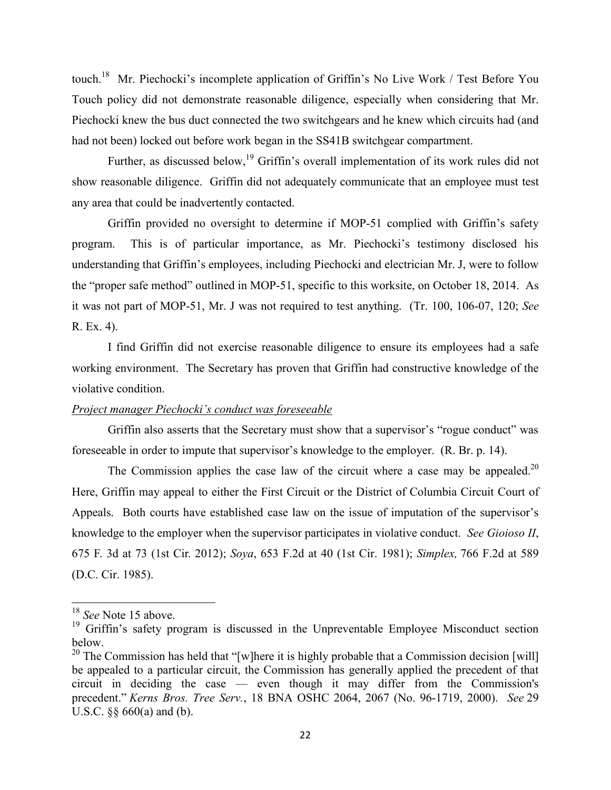touch.<sup>18</sup> Mr. Piechocki's incomplete application of Griffin's No Live Work / Test Before You Touch policy did not demonstrate reasonable diligence, especially when considering that Mr. Piechocki knew the bus duct connected the two switchgears and he knew which circuits had (and had not been) locked out before work began in the SS41B switchgear compartment.

Further, as discussed below,<sup>19</sup> Griffin's overall implementation of its work rules did not show reasonable diligence. Griffin did not adequately communicate that an employee must test any area that could be inadvertently contacted.

Griffin provided no oversight to determine if MOP-51 complied with Griffin's safety program. This is of particular importance, as Mr. Piechocki's testimony disclosed his understanding that Griffin's employees, including Piechocki and electrician Mr. J, were to follow the "proper safe method" outlined in MOP-51, specific to this worksite, on October 18, 2014. As it was not part of MOP-51, Mr. J was not required to test anything. (Tr. 100, 106-07, 120; *See* R. Ex. 4).

I find Griffin did not exercise reasonable diligence to ensure its employees had a safe working environment. The Secretary has proven that Griffin had constructive knowledge of the violative condition.

## *Project manager Piechocki's conduct was foreseeable*

Griffin also asserts that the Secretary must show that a supervisor's "rogue conduct" was foreseeable in order to impute that supervisor's knowledge to the employer. (R. Br. p. 14).

The Commission applies the case law of the circuit where a case may be appealed.<sup>20</sup> Here, Griffin may appeal to either the First Circuit or the District of Columbia Circuit Court of Appeals. Both courts have established case law on the issue of imputation of the supervisor's knowledge to the employer when the supervisor participates in violative conduct. *See Gioioso II*, 675 F. 3d at 73 (1st Cir. 2012); *Soya*, 653 F.2d at 40 (1st Cir. 1981); *Simplex,* 766 F.2d at 589 (D.C. Cir. 1985).

<sup>&</sup>lt;sup>18</sup> *See* Note 15 above.

<sup>&</sup>lt;sup>19</sup> Griffin's safety program is discussed in the Unpreventable Employee Misconduct section below.

<sup>&</sup>lt;sup>20</sup> The Commission has held that "[w]here it is highly probable that a Commission decision [will] be appealed to a particular circuit, the Commission has generally applied the precedent of that circuit in deciding the case — even though it may differ from the Commission's precedent." *Kerns Bros. Tree Serv.*, 18 BNA OSHC 2064, 2067 (No. 96-1719, 2000). *See* 29 U.S.C. §§ 660(a) and (b).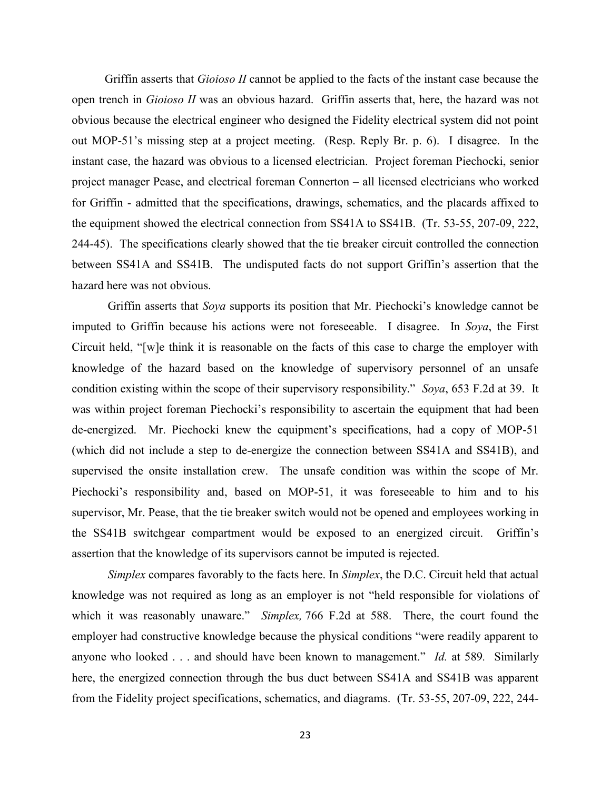Griffin asserts that *Gioioso II* cannot be applied to the facts of the instant case because the open trench in *Gioioso II* was an obvious hazard. Griffin asserts that, here, the hazard was not obvious because the electrical engineer who designed the Fidelity electrical system did not point out MOP-51's missing step at a project meeting. (Resp. Reply Br. p. 6). I disagree. In the instant case, the hazard was obvious to a licensed electrician. Project foreman Piechocki, senior project manager Pease, and electrical foreman Connerton – all licensed electricians who worked for Griffin - admitted that the specifications, drawings, schematics, and the placards affixed to the equipment showed the electrical connection from SS41A to SS41B. (Tr. 53-55, 207-09, 222, 244-45). The specifications clearly showed that the tie breaker circuit controlled the connection between SS41A and SS41B. The undisputed facts do not support Griffin's assertion that the hazard here was not obvious.

Griffin asserts that *Soya* supports its position that Mr. Piechocki's knowledge cannot be imputed to Griffin because his actions were not foreseeable. I disagree. In *Soya*, the First Circuit held, "[w]e think it is reasonable on the facts of this case to charge the employer with knowledge of the hazard based on the knowledge of supervisory personnel of an unsafe condition existing within the scope of their supervisory responsibility." *Soya*, 653 F.2d at 39. It was within project foreman Piechocki's responsibility to ascertain the equipment that had been de-energized. Mr. Piechocki knew the equipment's specifications, had a copy of MOP-51 (which did not include a step to de-energize the connection between SS41A and SS41B), and supervised the onsite installation crew. The unsafe condition was within the scope of Mr. Piechocki's responsibility and, based on MOP-51, it was foreseeable to him and to his supervisor, Mr. Pease, that the tie breaker switch would not be opened and employees working in the SS41B switchgear compartment would be exposed to an energized circuit. Griffin's assertion that the knowledge of its supervisors cannot be imputed is rejected.

*Simplex* compares favorably to the facts here. In *Simplex*, the D.C. Circuit held that actual knowledge was not required as long as an employer is not "held responsible for violations of which it was reasonably unaware." *Simplex,* 766 F.2d at 588. There, the court found the employer had constructive knowledge because the physical conditions "were readily apparent to anyone who looked . . . and should have been known to management." *Id.* at 589*.* Similarly here, the energized connection through the bus duct between SS41A and SS41B was apparent from the Fidelity project specifications, schematics, and diagrams. (Tr. 53-55, 207-09, 222, 244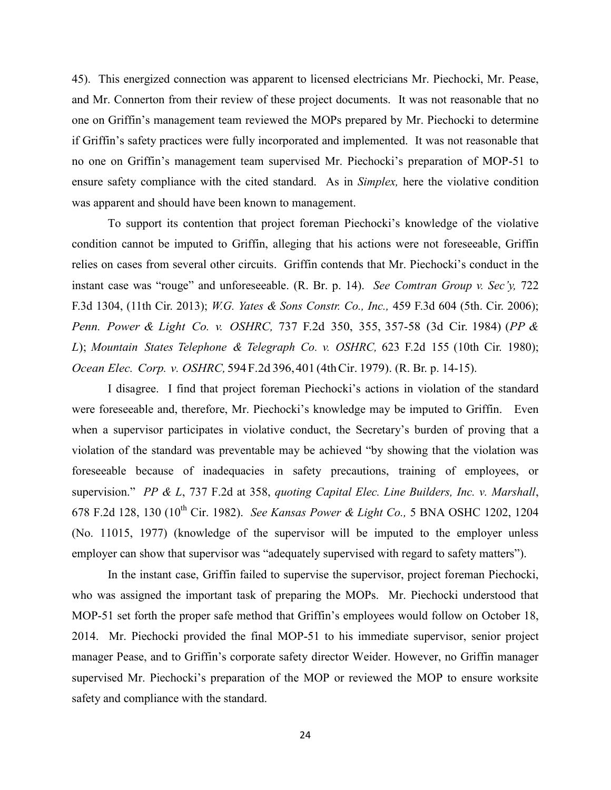45). This energized connection was apparent to licensed electricians Mr. Piechocki, Mr. Pease, and Mr. Connerton from their review of these project documents. It was not reasonable that no one on Griffin's management team reviewed the MOPs prepared by Mr. Piechocki to determine if Griffin's safety practices were fully incorporated and implemented. It was not reasonable that no one on Griffin's management team supervised Mr. Piechocki's preparation of MOP-51 to ensure safety compliance with the cited standard. As in *Simplex,* here the violative condition was apparent and should have been known to management.

To support its contention that project foreman Piechocki's knowledge of the violative condition cannot be imputed to Griffin, alleging that his actions were not foreseeable, Griffin relies on cases from several other circuits. Griffin contends that Mr. Piechocki's conduct in the instant case was "rouge" and unforeseeable. (R. Br. p. 14). *See Comtran Group v. Sec'y,* 722 F.3d 1304, (11th Cir. 2013); *W.G. Yates & Sons Constr. Co., Inc.,* 459 F.3d 604 (5th. Cir. 2006); *Penn. Power & Light Co. v. OSHRC,* 737 F.2d 350, 355, 357-58 (3d Cir. 1984) (*PP & L*); *Mountain States Telephone & Telegraph Co. v. OSHRC,* 623 F.2d 155 (10th Cir. 1980); *Ocean Elec. Corp. v. OSHRC,* 594 F.2d 396, 401 (4th Cir. 1979). (R. Br. p. 14-15).

I disagree. I find that project foreman Piechocki's actions in violation of the standard were foreseeable and, therefore, Mr. Piechocki's knowledge may be imputed to Griffin. Even when a supervisor participates in violative conduct, the Secretary's burden of proving that a violation of the standard was preventable may be achieved "by showing that the violation was foreseeable because of inadequacies in safety precautions, training of employees, or supervision." *PP & L*, 737 F.2d at 358, *quoting Capital Elec. Line Builders, Inc. v. Marshall*, 678 F.2d 128, 130 (10th Cir. 1982). *See Kansas Power & Light Co.,* 5 BNA OSHC 1202, 1204 (No. 11015, 1977) (knowledge of the supervisor will be imputed to the employer unless employer can show that supervisor was "adequately supervised with regard to safety matters").

In the instant case, Griffin failed to supervise the supervisor, project foreman Piechocki, who was assigned the important task of preparing the MOPs. Mr. Piechocki understood that MOP-51 set forth the proper safe method that Griffin's employees would follow on October 18, 2014. Mr. Piechocki provided the final MOP-51 to his immediate supervisor, senior project manager Pease, and to Griffin's corporate safety director Weider. However, no Griffin manager supervised Mr. Piechocki's preparation of the MOP or reviewed the MOP to ensure worksite safety and compliance with the standard.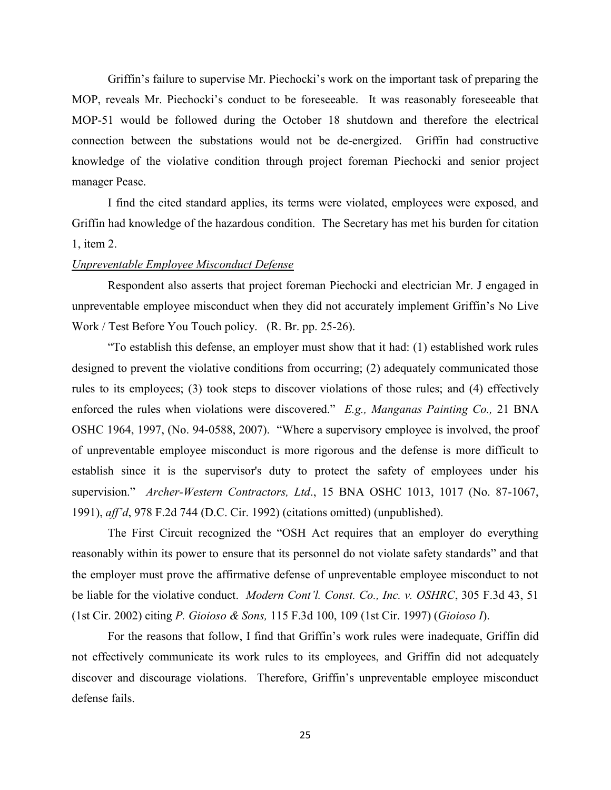Griffin's failure to supervise Mr. Piechocki's work on the important task of preparing the MOP, reveals Mr. Piechocki's conduct to be foreseeable. It was reasonably foreseeable that MOP-51 would be followed during the October 18 shutdown and therefore the electrical connection between the substations would not be de-energized. Griffin had constructive knowledge of the violative condition through project foreman Piechocki and senior project manager Pease.

I find the cited standard applies, its terms were violated, employees were exposed, and Griffin had knowledge of the hazardous condition. The Secretary has met his burden for citation 1, item 2.

#### *Unpreventable Employee Misconduct Defense*

 Respondent also asserts that project foreman Piechocki and electrician Mr. J engaged in unpreventable employee misconduct when they did not accurately implement Griffin's No Live Work / Test Before You Touch policy. (R. Br. pp. 25-26).

"To establish this defense, an employer must show that it had: (1) established work rules designed to prevent the violative conditions from occurring; (2) adequately communicated those rules to its employees; (3) took steps to discover violations of those rules; and (4) effectively enforced the rules when violations were discovered." *E.g., Manganas Painting Co.,* 21 BNA OSHC 1964, 1997, (No. 94-0588, 2007). "Where a supervisory employee is involved, the proof of unpreventable employee misconduct is more rigorous and the defense is more difficult to establish since it is the supervisor's duty to protect the safety of employees under his supervision." *Archer-Western Contractors, Ltd*., 15 BNA OSHC 1013, 1017 (No. 87-1067, 1991), *aff'd*, 978 F.2d 744 (D.C. Cir. 1992) (citations omitted) (unpublished).

The First Circuit recognized the "OSH Act requires that an employer do everything reasonably within its power to ensure that its personnel do not violate safety standards" and that the employer must prove the affirmative defense of unpreventable employee misconduct to not be liable for the violative conduct. *Modern Cont'l. Const. Co., Inc. v. OSHRC*, 305 F.3d 43, 51 (1st Cir. 2002) citing *P. Gioioso & Sons,* 115 F.3d 100, 109 (1st Cir. 1997) (*Gioioso I*).

For the reasons that follow, I find that Griffin's work rules were inadequate, Griffin did not effectively communicate its work rules to its employees, and Griffin did not adequately discover and discourage violations. Therefore, Griffin's unpreventable employee misconduct defense fails.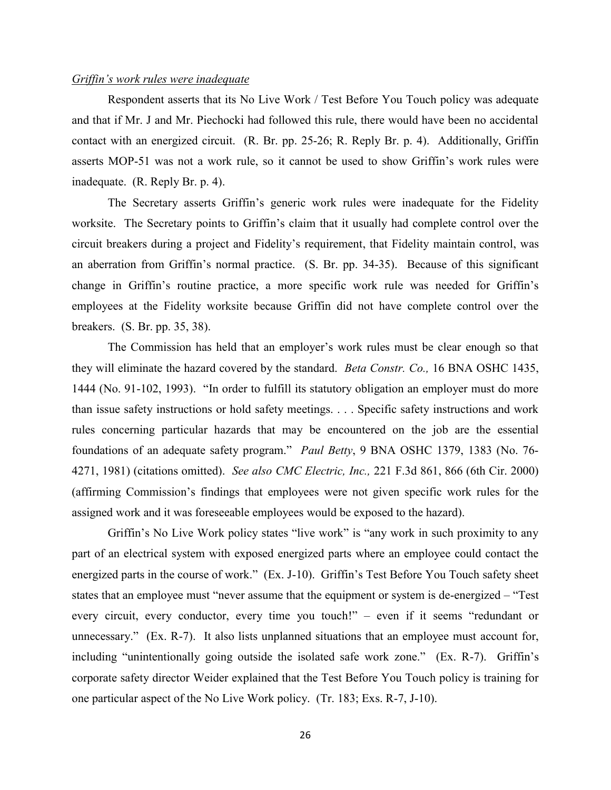## *Griffin's work rules were inadequate*

 Respondent asserts that its No Live Work / Test Before You Touch policy was adequate and that if Mr. J and Mr. Piechocki had followed this rule, there would have been no accidental contact with an energized circuit. (R. Br. pp. 25-26; R. Reply Br. p. 4). Additionally, Griffin asserts MOP-51 was not a work rule, so it cannot be used to show Griffin's work rules were inadequate. (R. Reply Br. p. 4).

The Secretary asserts Griffin's generic work rules were inadequate for the Fidelity worksite. The Secretary points to Griffin's claim that it usually had complete control over the circuit breakers during a project and Fidelity's requirement, that Fidelity maintain control, was an aberration from Griffin's normal practice. (S. Br. pp. 34-35). Because of this significant change in Griffin's routine practice, a more specific work rule was needed for Griffin's employees at the Fidelity worksite because Griffin did not have complete control over the breakers. (S. Br. pp. 35, 38).

 The Commission has held that an employer's work rules must be clear enough so that they will eliminate the hazard covered by the standard. *Beta Constr. Co.,* 16 BNA OSHC 1435, 1444 (No. 91-102, 1993). "In order to fulfill its statutory obligation an employer must do more than issue safety instructions or hold safety meetings. . . . Specific safety instructions and work rules concerning particular hazards that may be encountered on the job are the essential foundations of an adequate safety program." *Paul Betty*, 9 BNA OSHC 1379, 1383 (No. 76- 4271, 1981) (citations omitted). *See also CMC Electric, Inc.,* 221 F.3d 861, 866 (6th Cir. 2000) (affirming Commission's findings that employees were not given specific work rules for the assigned work and it was foreseeable employees would be exposed to the hazard).

 Griffin's No Live Work policy states "live work" is "any work in such proximity to any part of an electrical system with exposed energized parts where an employee could contact the energized parts in the course of work." (Ex. J-10). Griffin's Test Before You Touch safety sheet states that an employee must "never assume that the equipment or system is de-energized – "Test every circuit, every conductor, every time you touch!" – even if it seems "redundant or unnecessary." (Ex. R-7). It also lists unplanned situations that an employee must account for, including "unintentionally going outside the isolated safe work zone." (Ex. R-7). Griffin's corporate safety director Weider explained that the Test Before You Touch policy is training for one particular aspect of the No Live Work policy. (Tr. 183; Exs. R-7, J-10).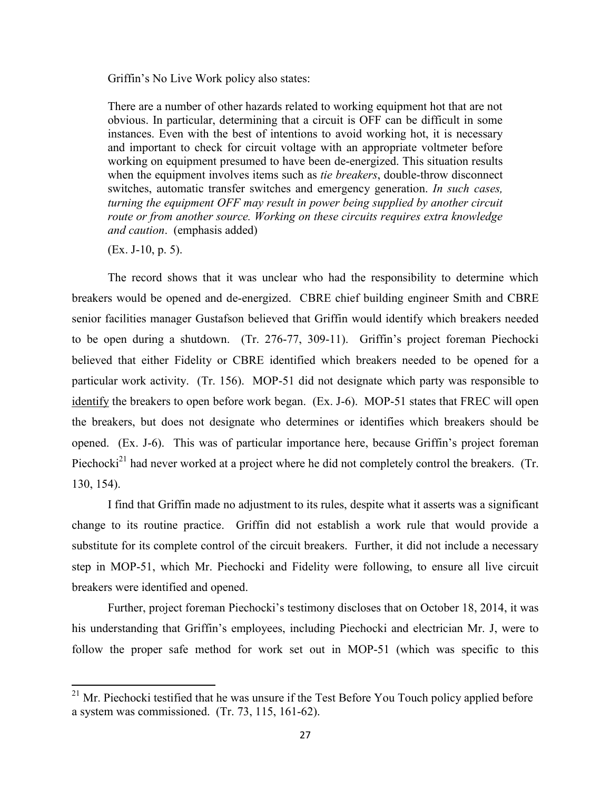Griffin's No Live Work policy also states:

There are a number of other hazards related to working equipment hot that are not obvious. In particular, determining that a circuit is OFF can be difficult in some instances. Even with the best of intentions to avoid working hot, it is necessary and important to check for circuit voltage with an appropriate voltmeter before working on equipment presumed to have been de-energized. This situation results when the equipment involves items such as *tie breakers*, double-throw disconnect switches, automatic transfer switches and emergency generation. *In such cases, turning the equipment OFF may result in power being supplied by another circuit route or from another source. Working on these circuits requires extra knowledge and caution*. (emphasis added)

(Ex. J-10, p. 5).

 $\overline{\phantom{a}}$ 

The record shows that it was unclear who had the responsibility to determine which breakers would be opened and de-energized. CBRE chief building engineer Smith and CBRE senior facilities manager Gustafson believed that Griffin would identify which breakers needed to be open during a shutdown. (Tr. 276-77, 309-11). Griffin's project foreman Piechocki believed that either Fidelity or CBRE identified which breakers needed to be opened for a particular work activity. (Tr. 156). MOP-51 did not designate which party was responsible to identify the breakers to open before work began. (Ex. J-6). MOP-51 states that FREC will open the breakers, but does not designate who determines or identifies which breakers should be opened. (Ex. J-6). This was of particular importance here, because Griffin's project foreman Piechocki<sup>21</sup> had never worked at a project where he did not completely control the breakers. (Tr. 130, 154).

 I find that Griffin made no adjustment to its rules, despite what it asserts was a significant change to its routine practice. Griffin did not establish a work rule that would provide a substitute for its complete control of the circuit breakers. Further, it did not include a necessary step in MOP-51, which Mr. Piechocki and Fidelity were following, to ensure all live circuit breakers were identified and opened.

Further, project foreman Piechocki's testimony discloses that on October 18, 2014, it was his understanding that Griffin's employees, including Piechocki and electrician Mr. J, were to follow the proper safe method for work set out in MOP-51 (which was specific to this

 $21$  Mr. Piechocki testified that he was unsure if the Test Before You Touch policy applied before a system was commissioned. (Tr. 73, 115, 161-62).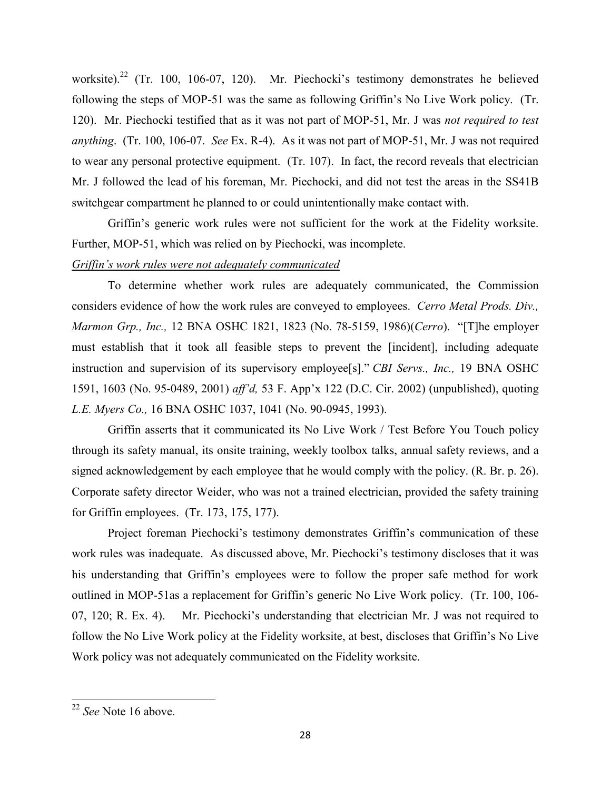worksite).<sup>22</sup> (Tr. 100, 106-07, 120). Mr. Piechocki's testimony demonstrates he believed following the steps of MOP-51 was the same as following Griffin's No Live Work policy. (Tr. 120). Mr. Piechocki testified that as it was not part of MOP-51, Mr. J was *not required to test anything*. (Tr. 100, 106-07. *See* Ex. R-4). As it was not part of MOP-51, Mr. J was not required to wear any personal protective equipment. (Tr. 107). In fact, the record reveals that electrician Mr. J followed the lead of his foreman, Mr. Piechocki, and did not test the areas in the SS41B switchgear compartment he planned to or could unintentionally make contact with.

Griffin's generic work rules were not sufficient for the work at the Fidelity worksite. Further, MOP-51, which was relied on by Piechocki, was incomplete.

# *Griffin's work rules were not adequately communicated*

To determine whether work rules are adequately communicated, the Commission considers evidence of how the work rules are conveyed to employees. *Cerro Metal Prods. Div., Marmon Grp., Inc.,* 12 BNA OSHC 1821, 1823 (No. 78-5159, 1986)(*Cerro*). "[T]he employer must establish that it took all feasible steps to prevent the [incident], including adequate instruction and supervision of its supervisory employee[s]." *CBI Servs., Inc.,* 19 BNA OSHC 1591, 1603 (No. 95-0489, 2001) *aff'd,* 53 F. App'x 122 (D.C. Cir. 2002) (unpublished), quoting *L.E. Myers Co.,* 16 BNA OSHC 1037, 1041 (No. 90-0945, 1993).

Griffin asserts that it communicated its No Live Work / Test Before You Touch policy through its safety manual, its onsite training, weekly toolbox talks, annual safety reviews, and a signed acknowledgement by each employee that he would comply with the policy. (R. Br. p. 26). Corporate safety director Weider, who was not a trained electrician, provided the safety training for Griffin employees. (Tr. 173, 175, 177).

Project foreman Piechocki's testimony demonstrates Griffin's communication of these work rules was inadequate. As discussed above, Mr. Piechocki's testimony discloses that it was his understanding that Griffin's employees were to follow the proper safe method for work outlined in MOP-51as a replacement for Griffin's generic No Live Work policy. (Tr. 100, 106- 07, 120; R. Ex. 4). Mr. Piechocki's understanding that electrician Mr. J was not required to follow the No Live Work policy at the Fidelity worksite, at best, discloses that Griffin's No Live Work policy was not adequately communicated on the Fidelity worksite.

<sup>22</sup> *See* Note 16 above.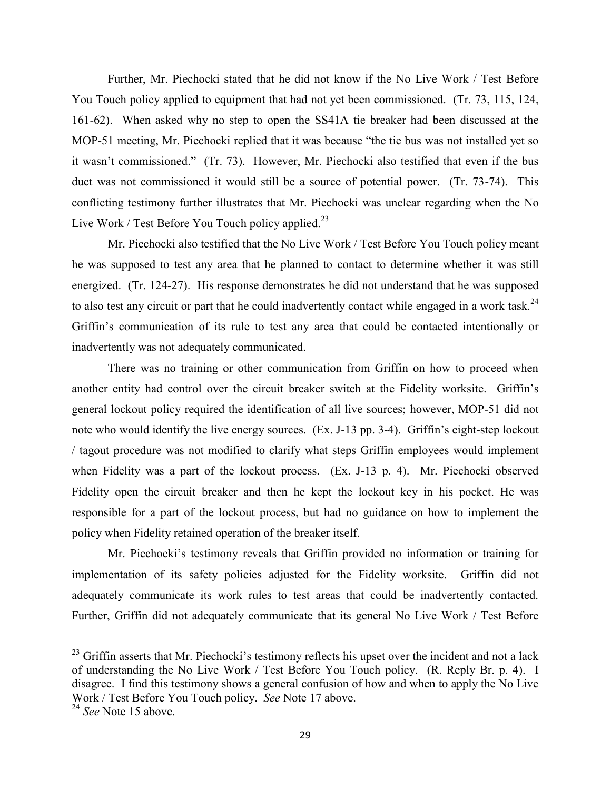Further, Mr. Piechocki stated that he did not know if the No Live Work / Test Before You Touch policy applied to equipment that had not yet been commissioned. (Tr. 73, 115, 124, 161-62). When asked why no step to open the SS41A tie breaker had been discussed at the MOP-51 meeting, Mr. Piechocki replied that it was because "the tie bus was not installed yet so it wasn't commissioned." (Tr. 73). However, Mr. Piechocki also testified that even if the bus duct was not commissioned it would still be a source of potential power. (Tr. 73-74). This conflicting testimony further illustrates that Mr. Piechocki was unclear regarding when the No Live Work / Test Before You Touch policy applied.<sup>23</sup>

Mr. Piechocki also testified that the No Live Work / Test Before You Touch policy meant he was supposed to test any area that he planned to contact to determine whether it was still energized. (Tr. 124-27). His response demonstrates he did not understand that he was supposed to also test any circuit or part that he could inadvertently contact while engaged in a work task.<sup>24</sup> Griffin's communication of its rule to test any area that could be contacted intentionally or inadvertently was not adequately communicated.

There was no training or other communication from Griffin on how to proceed when another entity had control over the circuit breaker switch at the Fidelity worksite. Griffin's general lockout policy required the identification of all live sources; however, MOP-51 did not note who would identify the live energy sources. (Ex. J-13 pp. 3-4). Griffin's eight-step lockout / tagout procedure was not modified to clarify what steps Griffin employees would implement when Fidelity was a part of the lockout process. (Ex. J-13 p. 4). Mr. Piechocki observed Fidelity open the circuit breaker and then he kept the lockout key in his pocket. He was responsible for a part of the lockout process, but had no guidance on how to implement the policy when Fidelity retained operation of the breaker itself.

Mr. Piechocki's testimony reveals that Griffin provided no information or training for implementation of its safety policies adjusted for the Fidelity worksite. Griffin did not adequately communicate its work rules to test areas that could be inadvertently contacted. Further, Griffin did not adequately communicate that its general No Live Work / Test Before

l

 $^{23}$  Griffin asserts that Mr. Piechocki's testimony reflects his upset over the incident and not a lack of understanding the No Live Work / Test Before You Touch policy. (R. Reply Br. p. 4). I disagree. I find this testimony shows a general confusion of how and when to apply the No Live Work / Test Before You Touch policy. *See* Note 17 above.

<sup>24</sup> *See* Note 15 above.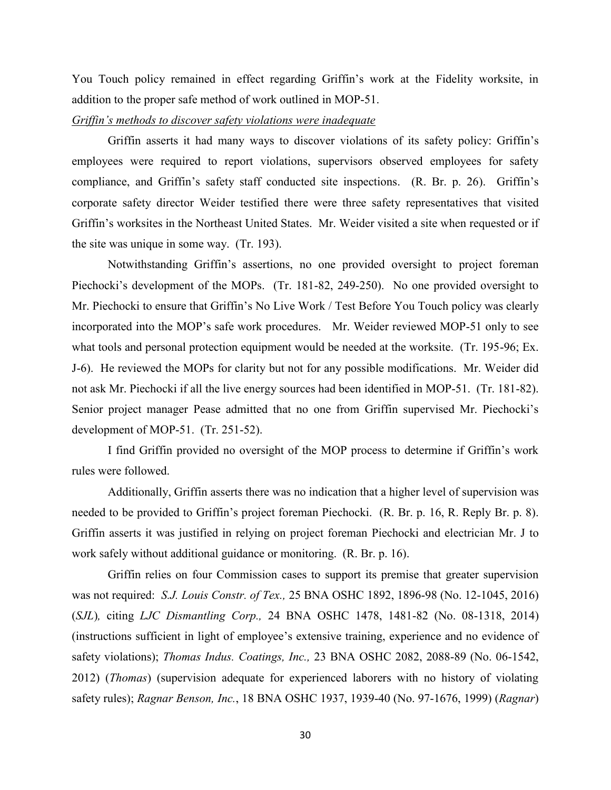You Touch policy remained in effect regarding Griffin's work at the Fidelity worksite, in addition to the proper safe method of work outlined in MOP-51.

## *Griffin's methods to discover safety violations were inadequate*

 Griffin asserts it had many ways to discover violations of its safety policy: Griffin's employees were required to report violations, supervisors observed employees for safety compliance, and Griffin's safety staff conducted site inspections. (R. Br. p. 26). Griffin's corporate safety director Weider testified there were three safety representatives that visited Griffin's worksites in the Northeast United States. Mr. Weider visited a site when requested or if the site was unique in some way. (Tr. 193).

Notwithstanding Griffin's assertions, no one provided oversight to project foreman Piechocki's development of the MOPs. (Tr. 181-82, 249-250). No one provided oversight to Mr. Piechocki to ensure that Griffin's No Live Work / Test Before You Touch policy was clearly incorporated into the MOP's safe work procedures. Mr. Weider reviewed MOP-51 only to see what tools and personal protection equipment would be needed at the worksite. (Tr. 195-96; Ex. J-6). He reviewed the MOPs for clarity but not for any possible modifications. Mr. Weider did not ask Mr. Piechocki if all the live energy sources had been identified in MOP-51. (Tr. 181-82). Senior project manager Pease admitted that no one from Griffin supervised Mr. Piechocki's development of MOP-51. (Tr. 251-52).

I find Griffin provided no oversight of the MOP process to determine if Griffin's work rules were followed.

 Additionally, Griffin asserts there was no indication that a higher level of supervision was needed to be provided to Griffin's project foreman Piechocki. (R. Br. p. 16, R. Reply Br. p. 8). Griffin asserts it was justified in relying on project foreman Piechocki and electrician Mr. J to work safely without additional guidance or monitoring. (R. Br. p. 16).

 Griffin relies on four Commission cases to support its premise that greater supervision was not required: *S.J. Louis Constr. of Tex.,* 25 BNA OSHC 1892, 1896-98 (No. 12-1045, 2016) (*SJL*)*,* citing *LJC Dismantling Corp.,* 24 BNA OSHC 1478, 1481-82 (No. 08-1318, 2014) (instructions sufficient in light of employee's extensive training, experience and no evidence of safety violations); *Thomas Indus. Coatings, Inc.,* 23 BNA OSHC 2082, 2088-89 (No. 06-1542, 2012) (*Thomas*) (supervision adequate for experienced laborers with no history of violating safety rules); *Ragnar Benson, Inc.*, 18 BNA OSHC 1937, 1939-40 (No. 97-1676, 1999) (*Ragnar*)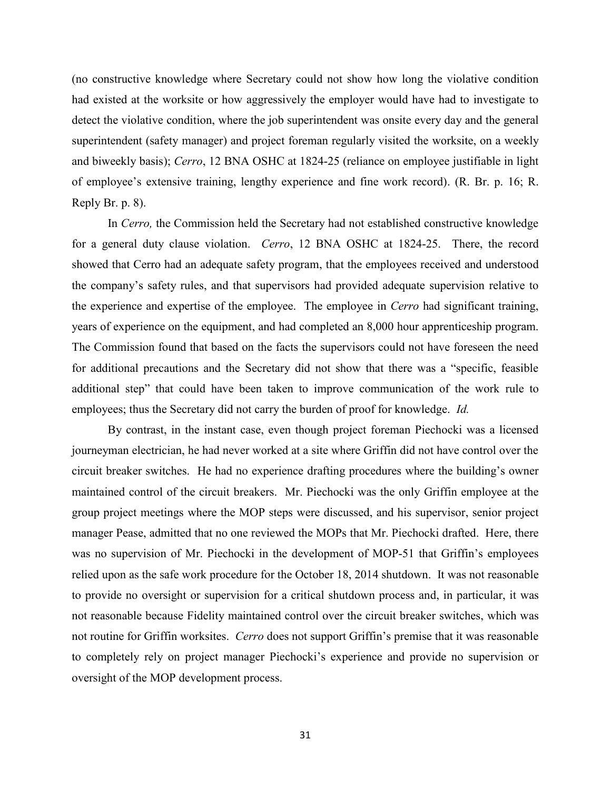(no constructive knowledge where Secretary could not show how long the violative condition had existed at the worksite or how aggressively the employer would have had to investigate to detect the violative condition, where the job superintendent was onsite every day and the general superintendent (safety manager) and project foreman regularly visited the worksite, on a weekly and biweekly basis); *Cerro*, 12 BNA OSHC at 1824-25 (reliance on employee justifiable in light of employee's extensive training, lengthy experience and fine work record). (R. Br. p. 16; R. Reply Br. p. 8).

 In *Cerro,* the Commission held the Secretary had not established constructive knowledge for a general duty clause violation. *Cerro*, 12 BNA OSHC at 1824-25. There, the record showed that Cerro had an adequate safety program, that the employees received and understood the company's safety rules, and that supervisors had provided adequate supervision relative to the experience and expertise of the employee. The employee in *Cerro* had significant training, years of experience on the equipment, and had completed an 8,000 hour apprenticeship program. The Commission found that based on the facts the supervisors could not have foreseen the need for additional precautions and the Secretary did not show that there was a "specific, feasible additional step" that could have been taken to improve communication of the work rule to employees; thus the Secretary did not carry the burden of proof for knowledge. *Id.* 

 By contrast, in the instant case, even though project foreman Piechocki was a licensed journeyman electrician, he had never worked at a site where Griffin did not have control over the circuit breaker switches. He had no experience drafting procedures where the building's owner maintained control of the circuit breakers. Mr. Piechocki was the only Griffin employee at the group project meetings where the MOP steps were discussed, and his supervisor, senior project manager Pease, admitted that no one reviewed the MOPs that Mr. Piechocki drafted. Here, there was no supervision of Mr. Piechocki in the development of MOP-51 that Griffin's employees relied upon as the safe work procedure for the October 18, 2014 shutdown. It was not reasonable to provide no oversight or supervision for a critical shutdown process and, in particular, it was not reasonable because Fidelity maintained control over the circuit breaker switches, which was not routine for Griffin worksites. *Cerro* does not support Griffin's premise that it was reasonable to completely rely on project manager Piechocki's experience and provide no supervision or oversight of the MOP development process.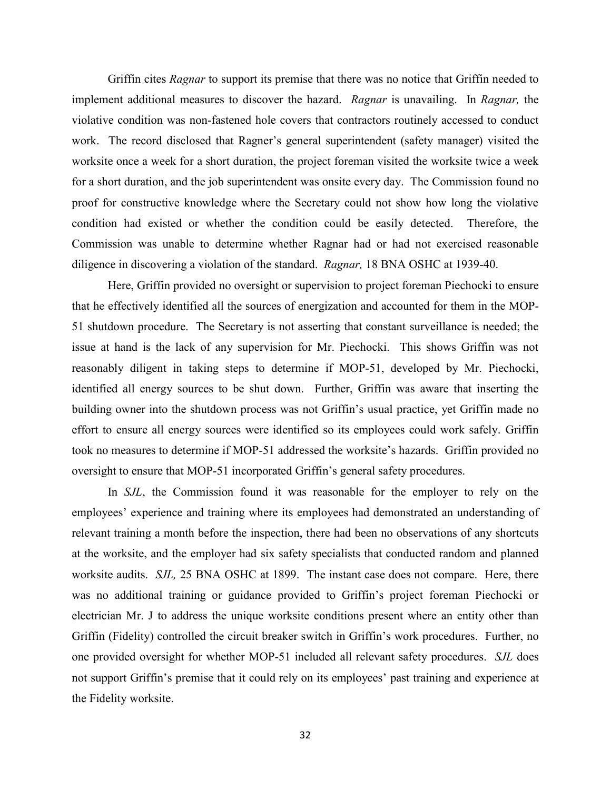Griffin cites *Ragnar* to support its premise that there was no notice that Griffin needed to implement additional measures to discover the hazard. *Ragnar* is unavailing. In *Ragnar,* the violative condition was non-fastened hole covers that contractors routinely accessed to conduct work. The record disclosed that Ragner's general superintendent (safety manager) visited the worksite once a week for a short duration, the project foreman visited the worksite twice a week for a short duration, and the job superintendent was onsite every day. The Commission found no proof for constructive knowledge where the Secretary could not show how long the violative condition had existed or whether the condition could be easily detected. Therefore, the Commission was unable to determine whether Ragnar had or had not exercised reasonable diligence in discovering a violation of the standard. *Ragnar,* 18 BNA OSHC at 1939-40.

 Here, Griffin provided no oversight or supervision to project foreman Piechocki to ensure that he effectively identified all the sources of energization and accounted for them in the MOP-51 shutdown procedure. The Secretary is not asserting that constant surveillance is needed; the issue at hand is the lack of any supervision for Mr. Piechocki. This shows Griffin was not reasonably diligent in taking steps to determine if MOP-51, developed by Mr. Piechocki, identified all energy sources to be shut down. Further, Griffin was aware that inserting the building owner into the shutdown process was not Griffin's usual practice, yet Griffin made no effort to ensure all energy sources were identified so its employees could work safely. Griffin took no measures to determine if MOP-51 addressed the worksite's hazards. Griffin provided no oversight to ensure that MOP-51 incorporated Griffin's general safety procedures.

In *SJL*, the Commission found it was reasonable for the employer to rely on the employees' experience and training where its employees had demonstrated an understanding of relevant training a month before the inspection, there had been no observations of any shortcuts at the worksite, and the employer had six safety specialists that conducted random and planned worksite audits. *SJL,* 25 BNA OSHC at 1899. The instant case does not compare. Here, there was no additional training or guidance provided to Griffin's project foreman Piechocki or electrician Mr. J to address the unique worksite conditions present where an entity other than Griffin (Fidelity) controlled the circuit breaker switch in Griffin's work procedures. Further, no one provided oversight for whether MOP-51 included all relevant safety procedures. *SJL* does not support Griffin's premise that it could rely on its employees' past training and experience at the Fidelity worksite.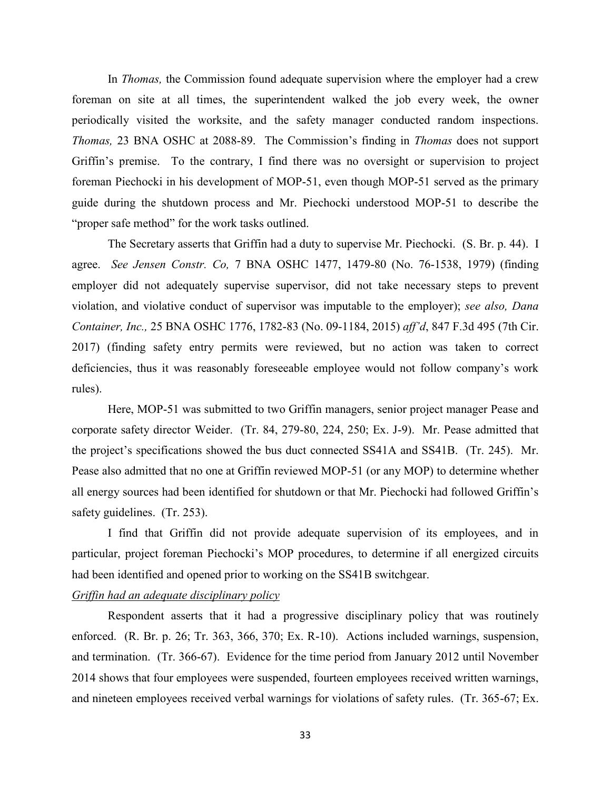In *Thomas,* the Commission found adequate supervision where the employer had a crew foreman on site at all times, the superintendent walked the job every week, the owner periodically visited the worksite, and the safety manager conducted random inspections. *Thomas,* 23 BNA OSHC at 2088-89.The Commission's finding in *Thomas* does not support Griffin's premise. To the contrary, I find there was no oversight or supervision to project foreman Piechocki in his development of MOP-51, even though MOP-51 served as the primary guide during the shutdown process and Mr. Piechocki understood MOP-51 to describe the "proper safe method" for the work tasks outlined.

The Secretary asserts that Griffin had a duty to supervise Mr. Piechocki. (S. Br. p. 44). I agree. *See Jensen Constr. Co,* 7 BNA OSHC 1477, 1479-80 (No. 76-1538, 1979) (finding employer did not adequately supervise supervisor, did not take necessary steps to prevent violation, and violative conduct of supervisor was imputable to the employer); *see also, Dana Container, Inc.,* 25 BNA OSHC 1776, 1782-83 (No. 09-1184, 2015) *aff'd*, 847 F.3d 495 (7th Cir. 2017) (finding safety entry permits were reviewed, but no action was taken to correct deficiencies, thus it was reasonably foreseeable employee would not follow company's work rules).

Here, MOP-51 was submitted to two Griffin managers, senior project manager Pease and corporate safety director Weider. (Tr. 84, 279-80, 224, 250; Ex. J-9). Mr. Pease admitted that the project's specifications showed the bus duct connected SS41A and SS41B. (Tr. 245). Mr. Pease also admitted that no one at Griffin reviewed MOP-51 (or any MOP) to determine whether all energy sources had been identified for shutdown or that Mr. Piechocki had followed Griffin's safety guidelines. (Tr. 253).

 I find that Griffin did not provide adequate supervision of its employees, and in particular, project foreman Piechocki's MOP procedures, to determine if all energized circuits had been identified and opened prior to working on the SS41B switchgear.

#### *Griffin had an adequate disciplinary policy*

 Respondent asserts that it had a progressive disciplinary policy that was routinely enforced. (R. Br. p. 26; Tr. 363, 366, 370; Ex. R-10). Actions included warnings, suspension, and termination. (Tr. 366-67). Evidence for the time period from January 2012 until November 2014 shows that four employees were suspended, fourteen employees received written warnings, and nineteen employees received verbal warnings for violations of safety rules. (Tr. 365-67; Ex.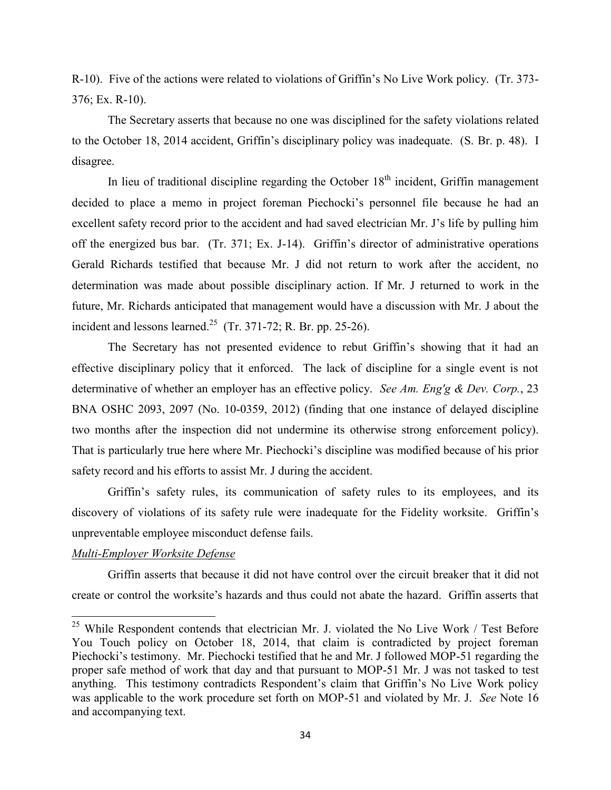R-10). Five of the actions were related to violations of Griffin's No Live Work policy. (Tr. 373- 376; Ex. R-10).

 The Secretary asserts that because no one was disciplined for the safety violations related to the October 18, 2014 accident, Griffin's disciplinary policy was inadequate. (S. Br. p. 48). I disagree.

In lieu of traditional discipline regarding the October  $18<sup>th</sup>$  incident, Griffin management decided to place a memo in project foreman Piechocki's personnel file because he had an excellent safety record prior to the accident and had saved electrician Mr. J's life by pulling him off the energized bus bar. (Tr. 371; Ex. J-14). Griffin's director of administrative operations Gerald Richards testified that because Mr. J did not return to work after the accident, no determination was made about possible disciplinary action. If Mr. J returned to work in the future, Mr. Richards anticipated that management would have a discussion with Mr. J about the incident and lessons learned.<sup>25</sup> (Tr. 371-72; R. Br. pp. 25-26).

 The Secretary has not presented evidence to rebut Griffin's showing that it had an effective disciplinary policy that it enforced. The lack of discipline for a single event is not determinative of whether an employer has an effective policy. *See Am. Eng'g & Dev. Corp.*, 23 BNA OSHC 2093, 2097 (No. 10-0359, 2012) (finding that one instance of delayed discipline two months after the inspection did not undermine its otherwise strong enforcement policy). That is particularly true here where Mr. Piechocki's discipline was modified because of his prior safety record and his efforts to assist Mr. J during the accident.

Griffin's safety rules, its communication of safety rules to its employees, and its discovery of violations of its safety rule were inadequate for the Fidelity worksite. Griffin's unpreventable employee misconduct defense fails.

## *Multi-Employer Worksite Defense*

 $\overline{\phantom{a}}$ 

Griffin asserts that because it did not have control over the circuit breaker that it did not create or control the worksite's hazards and thus could not abate the hazard. Griffin asserts that

 $25$  While Respondent contends that electrician Mr. J. violated the No Live Work / Test Before You Touch policy on October 18, 2014, that claim is contradicted by project foreman Piechocki's testimony. Mr. Piechocki testified that he and Mr. J followed MOP-51 regarding the proper safe method of work that day and that pursuant to MOP-51 Mr. J was not tasked to test anything. This testimony contradicts Respondent's claim that Griffin's No Live Work policy was applicable to the work procedure set forth on MOP-51 and violated by Mr. J. *See* Note 16 and accompanying text.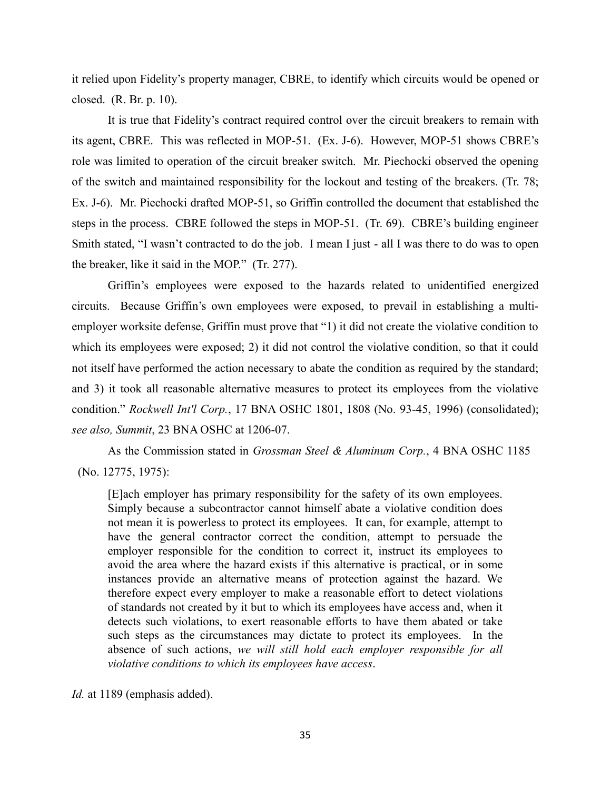it relied upon Fidelity's property manager, CBRE, to identify which circuits would be opened or closed. (R. Br. p. 10).

It is true that Fidelity's contract required control over the circuit breakers to remain with its agent, CBRE. This was reflected in MOP-51. (Ex. J-6). However, MOP-51 shows CBRE's role was limited to operation of the circuit breaker switch. Mr. Piechocki observed the opening of the switch and maintained responsibility for the lockout and testing of the breakers. (Tr. 78; Ex. J-6). Mr. Piechocki drafted MOP-51, so Griffin controlled the document that established the steps in the process. CBRE followed the steps in MOP-51. (Tr. 69). CBRE's building engineer Smith stated, "I wasn't contracted to do the job. I mean I just - all I was there to do was to open the breaker, like it said in the MOP." (Tr. 277).

Griffin's employees were exposed to the hazards related to unidentified energized circuits. Because Griffin's own employees were exposed, to prevail in establishing a multiemployer worksite defense, Griffin must prove that "1) it did not create the violative condition to which its employees were exposed; 2) it did not control the violative condition, so that it could not itself have performed the action necessary to abate the condition as required by the standard; and 3) it took all reasonable alternative measures to protect its employees from the violative condition." *Rockwell Int'l Corp.*, 17 BNA OSHC 1801, 1808 (No. 93-45, 1996) (consolidated); *see also, Summit*, 23 BNA OSHC at 1206-07.

As the Commission stated in *Grossman Steel & Aluminum Corp.*, 4 BNA OSHC 1185 (No. 12775, 1975):

[E]ach employer has primary responsibility for the safety of its own employees. Simply because a subcontractor cannot himself abate a violative condition does not mean it is powerless to protect its employees. It can, for example, attempt to have the general contractor correct the condition, attempt to persuade the employer responsible for the condition to correct it, instruct its employees to avoid the area where the hazard exists if this alternative is practical, or in some instances provide an alternative means of protection against the hazard. We therefore expect every employer to make a reasonable effort to detect violations of standards not created by it but to which its employees have access and, when it detects such violations, to exert reasonable efforts to have them abated or take such steps as the circumstances may dictate to protect its employees. In the absence of such actions, *we will still hold each employer responsible for all violative conditions to which its employees have access*.

*Id.* at 1189 (emphasis added).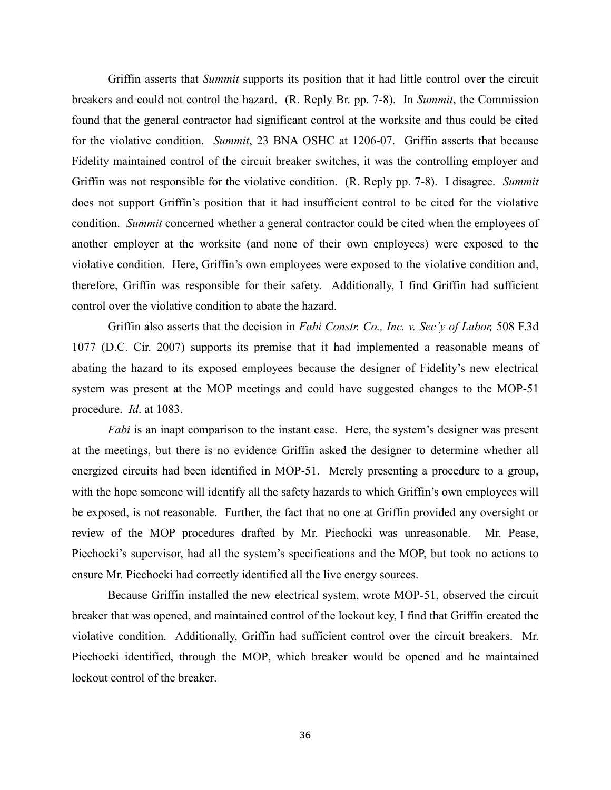Griffin asserts that *Summit* supports its position that it had little control over the circuit breakers and could not control the hazard. (R. Reply Br. pp. 7-8). In *Summit*, the Commission found that the general contractor had significant control at the worksite and thus could be cited for the violative condition. *Summit*, 23 BNA OSHC at 1206-07. Griffin asserts that because Fidelity maintained control of the circuit breaker switches, it was the controlling employer and Griffin was not responsible for the violative condition. (R. Reply pp. 7-8). I disagree. *Summit* does not support Griffin's position that it had insufficient control to be cited for the violative condition. *Summit* concerned whether a general contractor could be cited when the employees of another employer at the worksite (and none of their own employees) were exposed to the violative condition. Here, Griffin's own employees were exposed to the violative condition and, therefore, Griffin was responsible for their safety. Additionally, I find Griffin had sufficient control over the violative condition to abate the hazard.

Griffin also asserts that the decision in *Fabi Constr. Co., Inc. v. Sec'y of Labor,* 508 F.3d 1077 (D.C. Cir. 2007) supports its premise that it had implemented a reasonable means of abating the hazard to its exposed employees because the designer of Fidelity's new electrical system was present at the MOP meetings and could have suggested changes to the MOP-51 procedure. *Id*. at 1083.

*Fabi* is an inapt comparison to the instant case. Here, the system's designer was present at the meetings, but there is no evidence Griffin asked the designer to determine whether all energized circuits had been identified in MOP-51. Merely presenting a procedure to a group, with the hope someone will identify all the safety hazards to which Griffin's own employees will be exposed, is not reasonable. Further, the fact that no one at Griffin provided any oversight or review of the MOP procedures drafted by Mr. Piechocki was unreasonable. Mr. Pease, Piechocki's supervisor, had all the system's specifications and the MOP, but took no actions to ensure Mr. Piechocki had correctly identified all the live energy sources.

Because Griffin installed the new electrical system, wrote MOP-51, observed the circuit breaker that was opened, and maintained control of the lockout key, I find that Griffin created the violative condition. Additionally, Griffin had sufficient control over the circuit breakers. Mr. Piechocki identified, through the MOP, which breaker would be opened and he maintained lockout control of the breaker.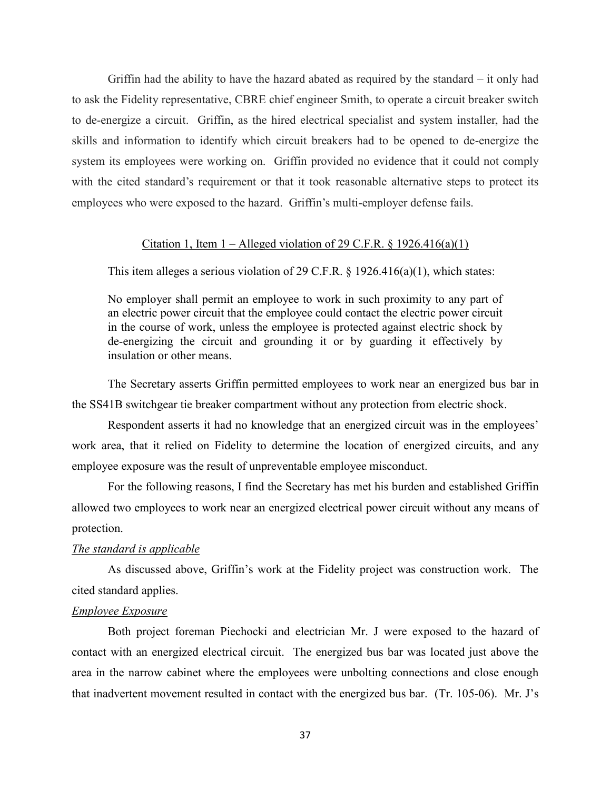Griffin had the ability to have the hazard abated as required by the standard  $-$  it only had to ask the Fidelity representative, CBRE chief engineer Smith, to operate a circuit breaker switch to de-energize a circuit. Griffin, as the hired electrical specialist and system installer, had the skills and information to identify which circuit breakers had to be opened to de-energize the system its employees were working on. Griffin provided no evidence that it could not comply with the cited standard's requirement or that it took reasonable alternative steps to protect its employees who were exposed to the hazard. Griffin's multi-employer defense fails.

### Citation 1, Item  $1 -$ Alleged violation of 29 C.F.R. § 1926.416(a)(1)

This item alleges a serious violation of 29 C.F.R.  $\S$  1926.416(a)(1), which states:

No employer shall permit an employee to work in such proximity to any part of an electric power circuit that the employee could contact the electric power circuit in the course of work, unless the employee is protected against electric shock by de-energizing the circuit and grounding it or by guarding it effectively by insulation or other means.

The Secretary asserts Griffin permitted employees to work near an energized bus bar in the SS41B switchgear tie breaker compartment without any protection from electric shock.

Respondent asserts it had no knowledge that an energized circuit was in the employees' work area, that it relied on Fidelity to determine the location of energized circuits, and any employee exposure was the result of unpreventable employee misconduct.

For the following reasons, I find the Secretary has met his burden and established Griffin allowed two employees to work near an energized electrical power circuit without any means of protection.

## *The standard is applicable*

As discussed above, Griffin's work at the Fidelity project was construction work. The cited standard applies.

#### *Employee Exposure*

 Both project foreman Piechocki and electrician Mr. J were exposed to the hazard of contact with an energized electrical circuit. The energized bus bar was located just above the area in the narrow cabinet where the employees were unbolting connections and close enough that inadvertent movement resulted in contact with the energized bus bar. (Tr. 105-06). Mr. J's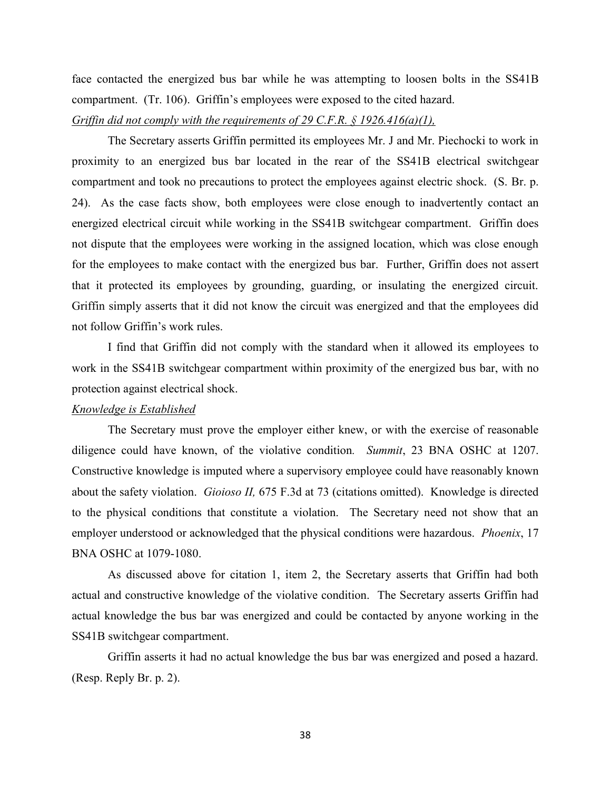face contacted the energized bus bar while he was attempting to loosen bolts in the SS41B compartment. (Tr. 106). Griffin's employees were exposed to the cited hazard.

# *Griffin did not comply with the requirements of 29 C.F.R. § 1926.416(a)(1),*

 The Secretary asserts Griffin permitted its employees Mr. J and Mr. Piechocki to work in proximity to an energized bus bar located in the rear of the SS41B electrical switchgear compartment and took no precautions to protect the employees against electric shock. (S. Br. p. 24). As the case facts show, both employees were close enough to inadvertently contact an energized electrical circuit while working in the SS41B switchgear compartment. Griffin does not dispute that the employees were working in the assigned location, which was close enough for the employees to make contact with the energized bus bar. Further, Griffin does not assert that it protected its employees by grounding, guarding, or insulating the energized circuit. Griffin simply asserts that it did not know the circuit was energized and that the employees did not follow Griffin's work rules.

 I find that Griffin did not comply with the standard when it allowed its employees to work in the SS41B switchgear compartment within proximity of the energized bus bar, with no protection against electrical shock.

#### *Knowledge is Established*

The Secretary must prove the employer either knew, or with the exercise of reasonable diligence could have known, of the violative condition*. Summit*, 23 BNA OSHC at 1207. Constructive knowledge is imputed where a supervisory employee could have reasonably known about the safety violation. *Gioioso II,* 675 F.3d at 73 (citations omitted). Knowledge is directed to the physical conditions that constitute a violation. The Secretary need not show that an employer understood or acknowledged that the physical conditions were hazardous. *Phoenix*, 17 BNA OSHC at 1079-1080.

As discussed above for citation 1, item 2, the Secretary asserts that Griffin had both actual and constructive knowledge of the violative condition. The Secretary asserts Griffin had actual knowledge the bus bar was energized and could be contacted by anyone working in the SS41B switchgear compartment.

Griffin asserts it had no actual knowledge the bus bar was energized and posed a hazard. (Resp. Reply Br. p. 2).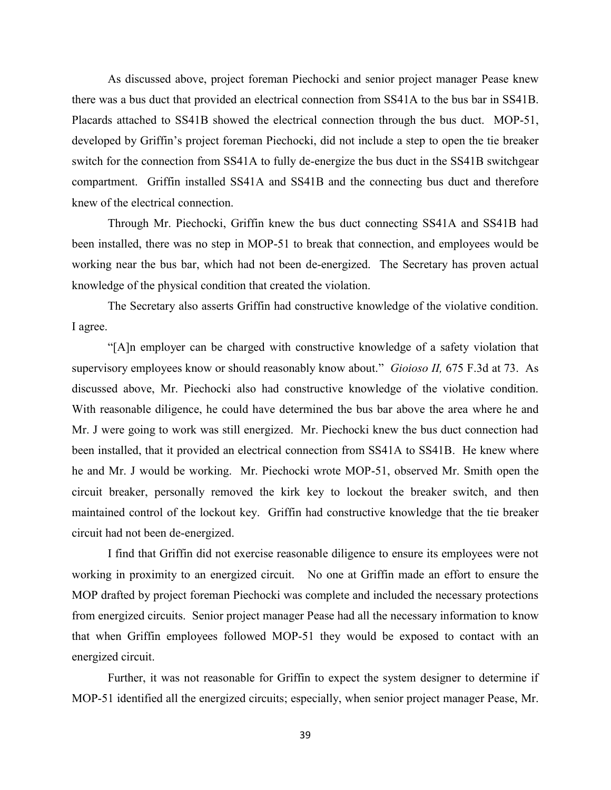As discussed above, project foreman Piechocki and senior project manager Pease knew there was a bus duct that provided an electrical connection from SS41A to the bus bar in SS41B. Placards attached to SS41B showed the electrical connection through the bus duct. MOP-51, developed by Griffin's project foreman Piechocki, did not include a step to open the tie breaker switch for the connection from SS41A to fully de-energize the bus duct in the SS41B switchgear compartment. Griffin installed SS41A and SS41B and the connecting bus duct and therefore knew of the electrical connection.

Through Mr. Piechocki, Griffin knew the bus duct connecting SS41A and SS41B had been installed, there was no step in MOP-51 to break that connection, and employees would be working near the bus bar, which had not been de-energized. The Secretary has proven actual knowledge of the physical condition that created the violation.

The Secretary also asserts Griffin had constructive knowledge of the violative condition. I agree.

"[A]n employer can be charged with constructive knowledge of a safety violation that supervisory employees know or should reasonably know about." *Gioioso II,* 675 F.3d at 73. As discussed above, Mr. Piechocki also had constructive knowledge of the violative condition. With reasonable diligence, he could have determined the bus bar above the area where he and Mr. J were going to work was still energized. Mr. Piechocki knew the bus duct connection had been installed, that it provided an electrical connection from SS41A to SS41B. He knew where he and Mr. J would be working. Mr. Piechocki wrote MOP-51, observed Mr. Smith open the circuit breaker, personally removed the kirk key to lockout the breaker switch, and then maintained control of the lockout key. Griffin had constructive knowledge that the tie breaker circuit had not been de-energized.

I find that Griffin did not exercise reasonable diligence to ensure its employees were not working in proximity to an energized circuit. No one at Griffin made an effort to ensure the MOP drafted by project foreman Piechocki was complete and included the necessary protections from energized circuits. Senior project manager Pease had all the necessary information to know that when Griffin employees followed MOP-51 they would be exposed to contact with an energized circuit.

Further, it was not reasonable for Griffin to expect the system designer to determine if MOP-51 identified all the energized circuits; especially, when senior project manager Pease, Mr.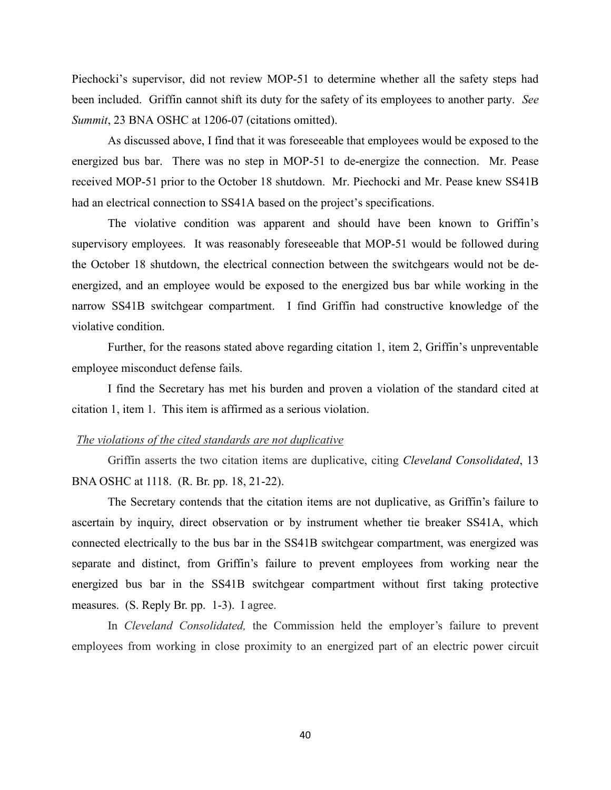Piechocki's supervisor, did not review MOP-51 to determine whether all the safety steps had been included. Griffin cannot shift its duty for the safety of its employees to another party. *See Summit*, 23 BNA OSHC at 1206-07 (citations omitted).

As discussed above, I find that it was foreseeable that employees would be exposed to the energized bus bar. There was no step in MOP-51 to de-energize the connection. Mr. Pease received MOP-51 prior to the October 18 shutdown. Mr. Piechocki and Mr. Pease knew SS41B had an electrical connection to SS41A based on the project's specifications.

The violative condition was apparent and should have been known to Griffin's supervisory employees. It was reasonably foreseeable that MOP-51 would be followed during the October 18 shutdown, the electrical connection between the switchgears would not be deenergized, and an employee would be exposed to the energized bus bar while working in the narrow SS41B switchgear compartment. I find Griffin had constructive knowledge of the violative condition.

Further, for the reasons stated above regarding citation 1, item 2, Griffin's unpreventable employee misconduct defense fails.

I find the Secretary has met his burden and proven a violation of the standard cited at citation 1, item 1. This item is affirmed as a serious violation.

#### *The violations of the cited standards are not duplicative*

Griffin asserts the two citation items are duplicative, citing *Cleveland Consolidated*, 13 BNA OSHC at 1118. (R. Br. pp. 18, 21-22).

The Secretary contends that the citation items are not duplicative, as Griffin's failure to ascertain by inquiry, direct observation or by instrument whether tie breaker SS41A, which connected electrically to the bus bar in the SS41B switchgear compartment, was energized was separate and distinct, from Griffin's failure to prevent employees from working near the energized bus bar in the SS41B switchgear compartment without first taking protective measures. (S. Reply Br. pp. 1-3). I agree.

In *Cleveland Consolidated,* the Commission held the employer's failure to prevent employees from working in close proximity to an energized part of an electric power circuit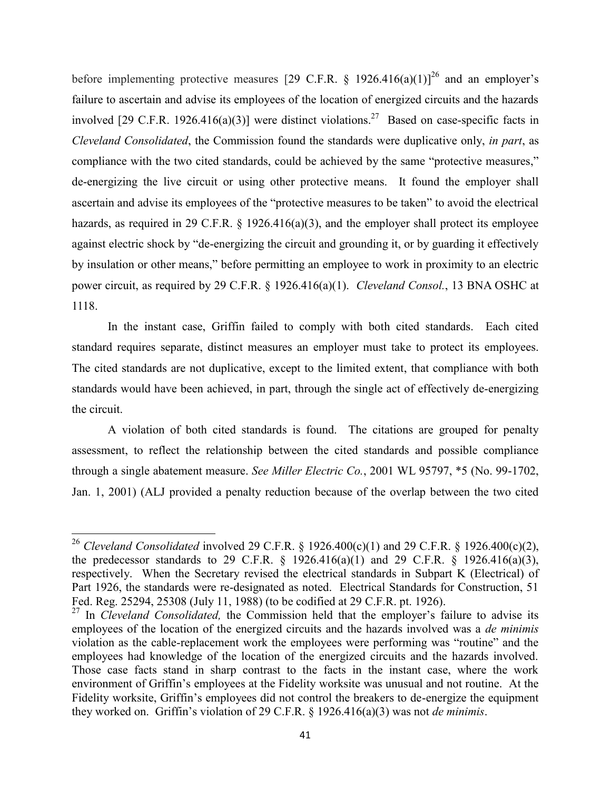before implementing protective measures [29 C.F.R. § 1926.416(a)(1)]<sup>26</sup> and an employer's failure to ascertain and advise its employees of the location of energized circuits and the hazards involved [29 C.F.R. 1926.416(a)(3)] were distinct violations.<sup>27</sup> Based on case-specific facts in *Cleveland Consolidated*, the Commission found the standards were duplicative only, *in part*, as compliance with the two cited standards, could be achieved by the same "protective measures," de-energizing the live circuit or using other protective means. It found the employer shall ascertain and advise its employees of the "protective measures to be taken" to avoid the electrical hazards, as required in 29 C.F.R. § 1926.416(a)(3), and the employer shall protect its employee against electric shock by "de-energizing the circuit and grounding it, or by guarding it effectively by insulation or other means," before permitting an employee to work in proximity to an electric power circuit, as required by 29 C.F.R. § 1926.416(a)(1). *Cleveland Consol.*, 13 BNA OSHC at 1118.

In the instant case, Griffin failed to comply with both cited standards. Each cited standard requires separate, distinct measures an employer must take to protect its employees. The cited standards are not duplicative, except to the limited extent, that compliance with both standards would have been achieved, in part, through the single act of effectively de-energizing the circuit.

A violation of both cited standards is found. The citations are grouped for penalty assessment, to reflect the relationship between the cited standards and possible compliance through a single abatement measure. *See Miller Electric Co.*, 2001 WL 95797, \*5 (No. 99-1702, Jan. 1, 2001) (ALJ provided a penalty reduction because of the overlap between the two cited

<sup>&</sup>lt;sup>26</sup> *Cleveland Consolidated* involved 29 C.F.R. § 1926.400(c)(1) and 29 C.F.R. § 1926.400(c)(2), the predecessor standards to 29 C.F.R.  $\S$  1926.416(a)(1) and 29 C.F.R.  $\S$  1926.416(a)(3), respectively. When the Secretary revised the electrical standards in Subpart K (Electrical) of Part 1926, the standards were re-designated as noted. Electrical Standards for Construction, 51 Fed. Reg. 25294, 25308 (July 11, 1988) (to be codified at 29 C.F.R. pt. 1926).

<sup>&</sup>lt;sup>27</sup> In *Cleveland Consolidated*, the Commission held that the employer's failure to advise its employees of the location of the energized circuits and the hazards involved was a *de minimis* violation as the cable-replacement work the employees were performing was "routine" and the employees had knowledge of the location of the energized circuits and the hazards involved. Those case facts stand in sharp contrast to the facts in the instant case, where the work environment of Griffin's employees at the Fidelity worksite was unusual and not routine. At the Fidelity worksite, Griffin's employees did not control the breakers to de-energize the equipment they worked on. Griffin's violation of 29 C.F.R. § 1926.416(a)(3) was not *de minimis*.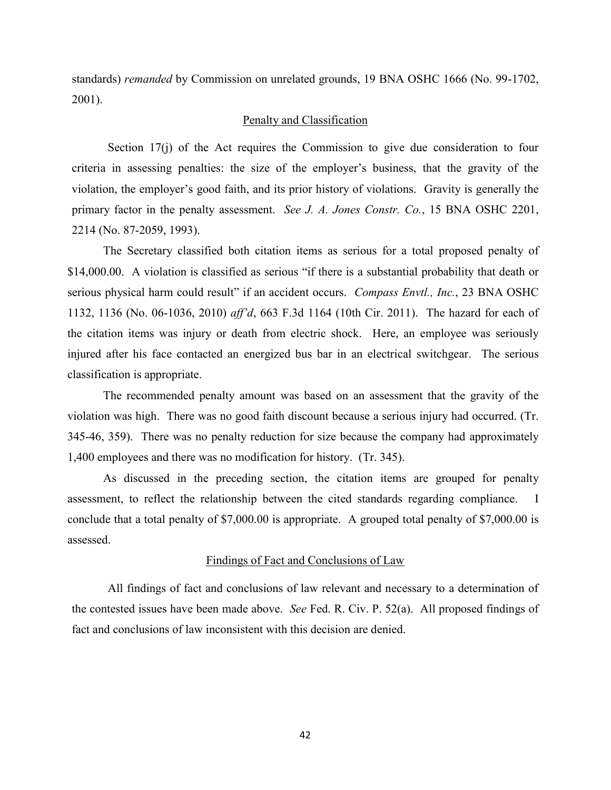standards) *remanded* by Commission on unrelated grounds, 19 BNA OSHC 1666 (No. 99-1702, 2001).

## Penalty and Classification

Section 17(j) of the Act requires the Commission to give due consideration to four criteria in assessing penalties: the size of the employer's business, that the gravity of the violation, the employer's good faith, and its prior history of violations. Gravity is generally the primary factor in the penalty assessment. *See J. A. Jones Constr. Co.*, 15 BNA OSHC 2201, 2214 (No. 87-2059, 1993).

The Secretary classified both citation items as serious for a total proposed penalty of \$14,000.00. A violation is classified as serious "if there is a substantial probability that death or serious physical harm could result" if an accident occurs. *Compass Envtl., Inc.*, 23 BNA OSHC 1132, 1136 (No. 06-1036, 2010) *aff'd*, 663 F.3d 1164 (10th Cir. 2011). The hazard for each of the citation items was injury or death from electric shock. Here, an employee was seriously injured after his face contacted an energized bus bar in an electrical switchgear. The serious classification is appropriate.

The recommended penalty amount was based on an assessment that the gravity of the violation was high. There was no good faith discount because a serious injury had occurred. (Tr. 345-46, 359). There was no penalty reduction for size because the company had approximately 1,400 employees and there was no modification for history. (Tr. 345).

As discussed in the preceding section, the citation items are grouped for penalty assessment, to reflect the relationship between the cited standards regarding compliance. I conclude that a total penalty of \$7,000.00 is appropriate. A grouped total penalty of \$7,000.00 is assessed.

#### Findings of Fact and Conclusions of Law

 All findings of fact and conclusions of law relevant and necessary to a determination of the contested issues have been made above. *See* Fed. R. Civ. P. 52(a). All proposed findings of fact and conclusions of law inconsistent with this decision are denied.